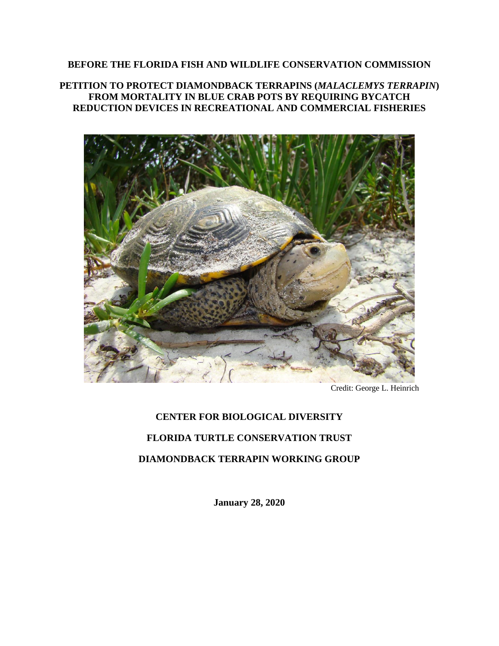#### **BEFORE THE FLORIDA FISH AND WILDLIFE CONSERVATION COMMISSION**

**PETITION TO PROTECT DIAMONDBACK TERRAPINS (***MALACLEMYS TERRAPIN***) FROM MORTALITY IN BLUE CRAB POTS BY REQUIRING BYCATCH REDUCTION DEVICES IN RECREATIONAL AND COMMERCIAL FISHERIES**



Credit: George L. Heinrich

# **CENTER FOR BIOLOGICAL DIVERSITY FLORIDA TURTLE CONSERVATION TRUST DIAMONDBACK TERRAPIN WORKING GROUP**

**January 28, 2020**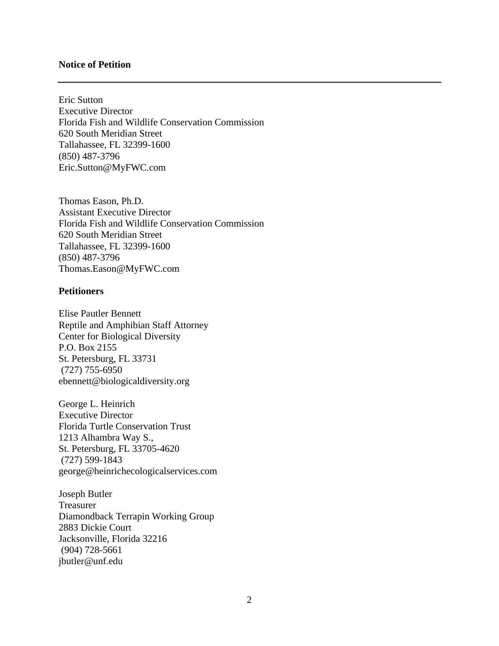#### **Notice of Petition**

Eric Sutton Executive Director Florida Fish and Wildlife Conservation Commission 620 South Meridian Street Tallahassee, FL 32399-1600 (850) 487-3796 Eric.Sutton@MyFWC.com

Thomas Eason, Ph.D. Assistant Executive Director Florida Fish and Wildlife Conservation Commission 620 South Meridian Street Tallahassee, FL 32399-1600 (850) 487-3796 Thomas.Eason@MyFWC.com

#### **Petitioners**

Elise Pautler Bennett Reptile and Amphibian Staff Attorney Center for Biological Diversity P.O. Box 2155 St. Petersburg, FL 33731 (727) 755-6950 ebennett@biologicaldiversity.org

George L. Heinrich Executive Director Florida Turtle Conservation Trust 1213 Alhambra Way S., St. Petersburg, FL 33705-4620 (727) 599-1843 george@heinrichecologicalservices.com

Joseph Butler Treasurer Diamondback Terrapin Working Group 2883 Dickie Court Jacksonville, Florida 32216 (904) 728-5661 jbutler@unf.edu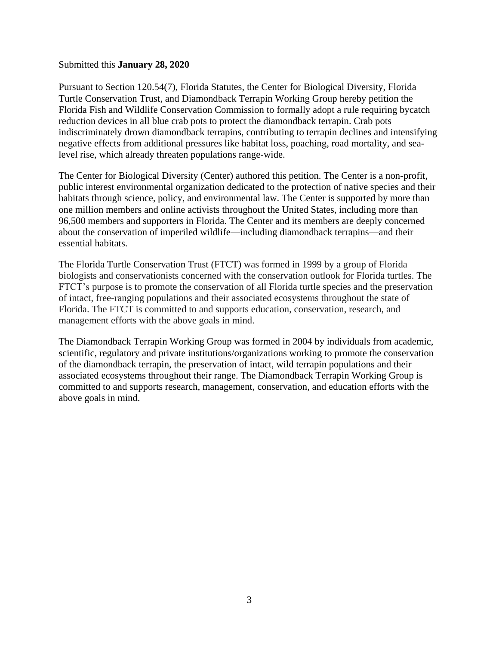#### Submitted this **January 28, 2020**

Pursuant to Section 120.54(7), Florida Statutes, the Center for Biological Diversity, Florida Turtle Conservation Trust, and Diamondback Terrapin Working Group hereby petition the Florida Fish and Wildlife Conservation Commission to formally adopt a rule requiring bycatch reduction devices in all blue crab pots to protect the diamondback terrapin. Crab pots indiscriminately drown diamondback terrapins, contributing to terrapin declines and intensifying negative effects from additional pressures like habitat loss, poaching, road mortality, and sealevel rise, which already threaten populations range-wide.

The Center for Biological Diversity (Center) authored this petition. The Center is a non-profit, public interest environmental organization dedicated to the protection of native species and their habitats through science, policy, and environmental law. The Center is supported by more than one million members and online activists throughout the United States, including more than 96,500 members and supporters in Florida. The Center and its members are deeply concerned about the conservation of imperiled wildlife—including diamondback terrapins—and their essential habitats.

The Florida Turtle Conservation Trust (FTCT) was formed in 1999 by a group of Florida biologists and conservationists concerned with the conservation outlook for Florida turtles. The FTCT's purpose is to promote the conservation of all Florida turtle species and the preservation of intact, free-ranging populations and their associated ecosystems throughout the state of Florida. The FTCT is committed to and supports education, conservation, research, and management efforts with the above goals in mind.

The Diamondback Terrapin Working Group was formed in 2004 by individuals from academic, scientific, regulatory and private institutions/organizations working to promote the conservation of the diamondback terrapin, the preservation of intact, wild terrapin populations and their associated ecosystems throughout their range. The Diamondback Terrapin Working Group is committed to and supports research, management, conservation, and education efforts with the above goals in mind.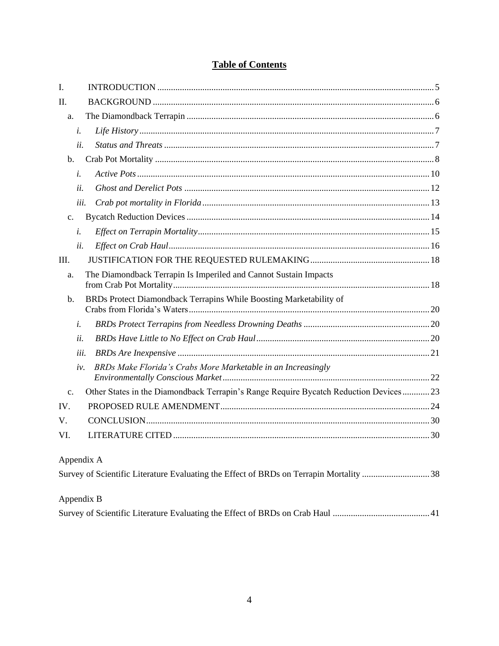# **Table of Contents**

| I.             |                                                                                        |  |  |  |
|----------------|----------------------------------------------------------------------------------------|--|--|--|
| Π.             |                                                                                        |  |  |  |
| a.             |                                                                                        |  |  |  |
| i.             |                                                                                        |  |  |  |
| ii.            |                                                                                        |  |  |  |
| b.             |                                                                                        |  |  |  |
| i.             |                                                                                        |  |  |  |
| ii.            |                                                                                        |  |  |  |
| iii.           |                                                                                        |  |  |  |
| c.             |                                                                                        |  |  |  |
| i.             |                                                                                        |  |  |  |
| ii.            |                                                                                        |  |  |  |
| III.           |                                                                                        |  |  |  |
| a.             | The Diamondback Terrapin Is Imperiled and Cannot Sustain Impacts                       |  |  |  |
| $b$ .          | BRDs Protect Diamondback Terrapins While Boosting Marketability of                     |  |  |  |
| i.             |                                                                                        |  |  |  |
| ii.            |                                                                                        |  |  |  |
| iii.           |                                                                                        |  |  |  |
| iv.            | BRDs Make Florida's Crabs More Marketable in an Increasingly                           |  |  |  |
| $\mathbf{c}$ . | Other States in the Diamondback Terrapin's Range Require Bycatch Reduction Devices23   |  |  |  |
| IV.            |                                                                                        |  |  |  |
| V.             |                                                                                        |  |  |  |
| VI.            |                                                                                        |  |  |  |
| Appendix A     |                                                                                        |  |  |  |
|                | Survey of Scientific Literature Evaluating the Effect of BRDs on Terrapin Mortality 38 |  |  |  |
| Appendix B     |                                                                                        |  |  |  |
|                |                                                                                        |  |  |  |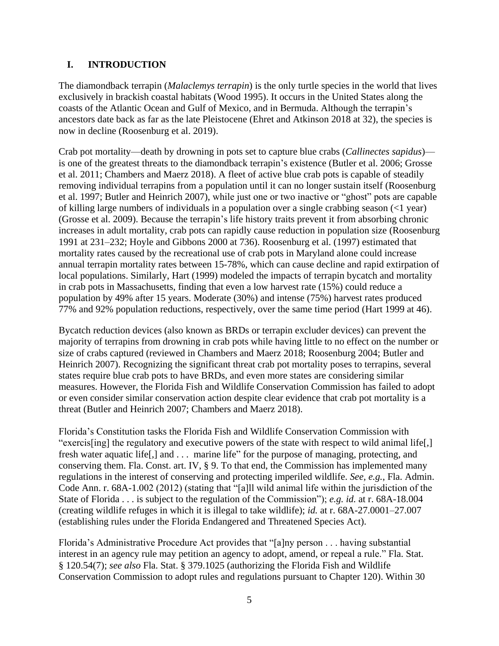#### <span id="page-4-0"></span>**I. INTRODUCTION**

The diamondback terrapin (*Malaclemys terrapin*) is the only turtle species in the world that lives exclusively in brackish coastal habitats (Wood 1995). It occurs in the United States along the coasts of the Atlantic Ocean and Gulf of Mexico, and in Bermuda. Although the terrapin's ancestors date back as far as the late Pleistocene (Ehret and Atkinson 2018 at 32), the species is now in decline (Roosenburg et al. 2019).

Crab pot mortality—death by drowning in pots set to capture blue crabs (*Callinectes sapidus*) is one of the greatest threats to the diamondback terrapin's existence (Butler et al. 2006; Grosse et al. 2011; Chambers and Maerz 2018). A fleet of active blue crab pots is capable of steadily removing individual terrapins from a population until it can no longer sustain itself (Roosenburg et al. 1997; Butler and Heinrich 2007), while just one or two inactive or "ghost" pots are capable of killing large numbers of individuals in a population over a single crabbing season (<1 year) (Grosse et al. 2009). Because the terrapin's life history traits prevent it from absorbing chronic increases in adult mortality, crab pots can rapidly cause reduction in population size (Roosenburg 1991 at 231–232; Hoyle and Gibbons 2000 at 736). Roosenburg et al. (1997) estimated that mortality rates caused by the recreational use of crab pots in Maryland alone could increase annual terrapin mortality rates between 15-78%, which can cause decline and rapid extirpation of local populations. Similarly, Hart (1999) modeled the impacts of terrapin bycatch and mortality in crab pots in Massachusetts, finding that even a low harvest rate (15%) could reduce a population by 49% after 15 years. Moderate (30%) and intense (75%) harvest rates produced 77% and 92% population reductions, respectively, over the same time period (Hart 1999 at 46).

Bycatch reduction devices (also known as BRDs or terrapin excluder devices) can prevent the majority of terrapins from drowning in crab pots while having little to no effect on the number or size of crabs captured (reviewed in Chambers and Maerz 2018; Roosenburg 2004; Butler and Heinrich 2007). Recognizing the significant threat crab pot mortality poses to terrapins, several states require blue crab pots to have BRDs, and even more states are considering similar measures. However, the Florida Fish and Wildlife Conservation Commission has failed to adopt or even consider similar conservation action despite clear evidence that crab pot mortality is a threat (Butler and Heinrich 2007; Chambers and Maerz 2018).

Florida's Constitution tasks the Florida Fish and Wildlife Conservation Commission with "exercis[ing] the regulatory and executive powers of the state with respect to wild animal life[,] fresh water aquatic life[,] and . . . marine life" for the purpose of managing, protecting, and conserving them. Fla. Const. art. IV, § 9. To that end, the Commission has implemented many regulations in the interest of conserving and protecting imperiled wildlife. *See, e.g.*, Fla. Admin. Code Ann. r. 68A-1.002 (2012) (stating that "[a]ll wild animal life within the jurisdiction of the State of Florida . . . is subject to the regulation of the Commission"); *e.g. id.* at r. 68A-18.004 (creating wildlife refuges in which it is illegal to take wildlife); *id.* at r. 68A-27.0001–27.007 (establishing rules under the Florida Endangered and Threatened Species Act).

Florida's Administrative Procedure Act provides that "[a]ny person . . . having substantial interest in an agency rule may petition an agency to adopt, amend, or repeal a rule." Fla. Stat. § 120.54(7); *see also* Fla. Stat. § 379.1025 (authorizing the Florida Fish and Wildlife Conservation Commission to adopt rules and regulations pursuant to Chapter 120). Within 30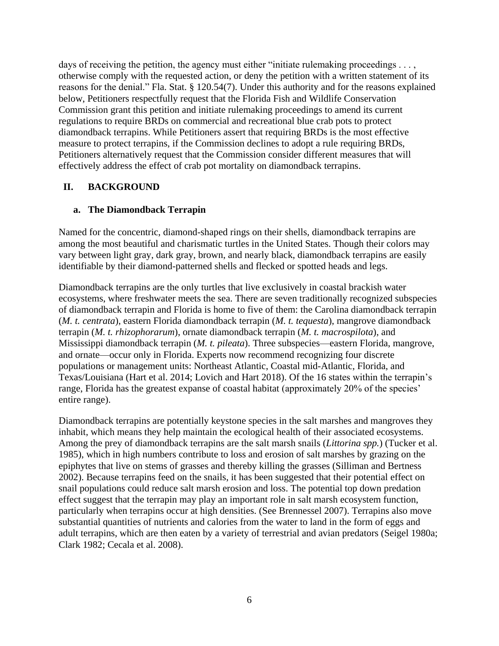days of receiving the petition, the agency must either "initiate rulemaking proceedings . . . , otherwise comply with the requested action, or deny the petition with a written statement of its reasons for the denial." Fla. Stat. § 120.54(7). Under this authority and for the reasons explained below, Petitioners respectfully request that the Florida Fish and Wildlife Conservation Commission grant this petition and initiate rulemaking proceedings to amend its current regulations to require BRDs on commercial and recreational blue crab pots to protect diamondback terrapins. While Petitioners assert that requiring BRDs is the most effective measure to protect terrapins, if the Commission declines to adopt a rule requiring BRDs, Petitioners alternatively request that the Commission consider different measures that will effectively address the effect of crab pot mortality on diamondback terrapins.

#### <span id="page-5-0"></span>**II. BACKGROUND**

#### <span id="page-5-1"></span>**a. The Diamondback Terrapin**

Named for the concentric, diamond-shaped rings on their shells, diamondback terrapins are among the most beautiful and charismatic turtles in the United States. Though their colors may vary between light gray, dark gray, brown, and nearly black, diamondback terrapins are easily identifiable by their diamond-patterned shells and flecked or spotted heads and legs.

Diamondback terrapins are the only turtles that live exclusively in coastal brackish water ecosystems, where freshwater meets the sea. There are seven traditionally recognized subspecies of diamondback terrapin and Florida is home to five of them: the Carolina diamondback terrapin (*M. t. centrata*), eastern Florida diamondback terrapin (*M. t. tequesta*), mangrove diamondback terrapin (*M. t. rhizophorarum*), ornate diamondback terrapin (*M. t. macrospilota*), and Mississippi diamondback terrapin (*M. t. pileata*). Three subspecies—eastern Florida, mangrove, and ornate—occur only in Florida. Experts now recommend recognizing four discrete populations or management units: Northeast Atlantic, Coastal mid-Atlantic, Florida, and Texas/Louisiana (Hart et al. 2014; Lovich and Hart 2018). Of the 16 states within the terrapin's range, Florida has the greatest expanse of coastal habitat (approximately 20% of the species' entire range).

Diamondback terrapins are potentially keystone species in the salt marshes and mangroves they inhabit, which means they help maintain the ecological health of their associated ecosystems. Among the prey of diamondback terrapins are the salt marsh snails (*Littorina spp.*) (Tucker et al. 1985), which in high numbers contribute to loss and erosion of salt marshes by grazing on the epiphytes that live on stems of grasses and thereby killing the grasses (Silliman and Bertness 2002). Because terrapins feed on the snails, it has been suggested that their potential effect on snail populations could reduce salt marsh erosion and loss. The potential top down predation effect suggest that the terrapin may play an important role in salt marsh ecosystem function, particularly when terrapins occur at high densities. (See Brennessel 2007). Terrapins also move substantial quantities of nutrients and calories from the water to land in the form of eggs and adult terrapins, which are then eaten by a variety of terrestrial and avian predators (Seigel 1980a; Clark 1982; Cecala et al. 2008).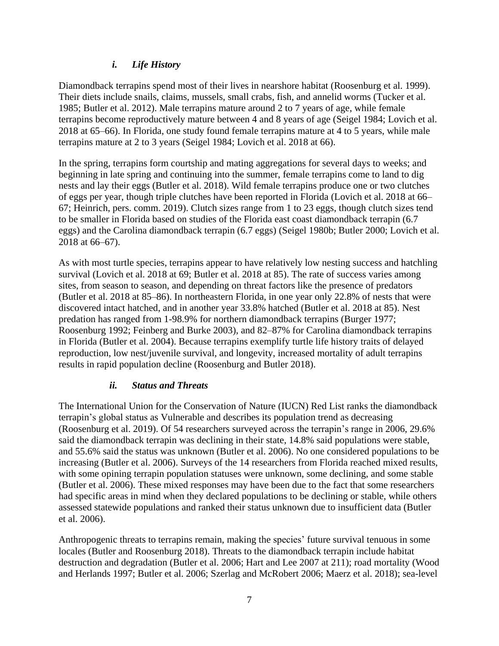## *i. Life History*

<span id="page-6-0"></span>Diamondback terrapins spend most of their lives in nearshore habitat (Roosenburg et al. 1999). Their diets include snails, claims, mussels, small crabs, fish, and annelid worms (Tucker et al. 1985; Butler et al. 2012). Male terrapins mature around 2 to 7 years of age, while female terrapins become reproductively mature between 4 and 8 years of age (Seigel 1984; Lovich et al. 2018 at 65–66). In Florida, one study found female terrapins mature at 4 to 5 years, while male terrapins mature at 2 to 3 years (Seigel 1984; Lovich et al. 2018 at 66).

In the spring, terrapins form courtship and mating aggregations for several days to weeks; and beginning in late spring and continuing into the summer, female terrapins come to land to dig nests and lay their eggs (Butler et al. 2018). Wild female terrapins produce one or two clutches of eggs per year, though triple clutches have been reported in Florida (Lovich et al. 2018 at 66– 67; Heinrich, pers. comm. 2019). Clutch sizes range from 1 to 23 eggs, though clutch sizes tend to be smaller in Florida based on studies of the Florida east coast diamondback terrapin (6.7 eggs) and the Carolina diamondback terrapin (6.7 eggs) (Seigel 1980b; Butler 2000; Lovich et al. 2018 at 66–67).

As with most turtle species, terrapins appear to have relatively low nesting success and hatchling survival (Lovich et al. 2018 at 69; Butler et al. 2018 at 85). The rate of success varies among sites, from season to season, and depending on threat factors like the presence of predators (Butler et al. 2018 at 85–86). In northeastern Florida, in one year only 22.8% of nests that were discovered intact hatched, and in another year 33.8% hatched (Butler et al. 2018 at 85). Nest predation has ranged from 1-98.9% for northern diamondback terrapins (Burger 1977; Roosenburg 1992; Feinberg and Burke 2003), and 82–87% for Carolina diamondback terrapins in Florida (Butler et al. 2004). Because terrapins exemplify turtle life history traits of delayed reproduction, low nest/juvenile survival, and longevity, increased mortality of adult terrapins results in rapid population decline (Roosenburg and Butler 2018).

#### *ii. Status and Threats*

<span id="page-6-1"></span>The International Union for the Conservation of Nature (IUCN) Red List ranks the diamondback terrapin's global status as Vulnerable and describes its population trend as decreasing (Roosenburg et al. 2019). Of 54 researchers surveyed across the terrapin's range in 2006, 29.6% said the diamondback terrapin was declining in their state, 14.8% said populations were stable, and 55.6% said the status was unknown (Butler et al. 2006). No one considered populations to be increasing (Butler et al. 2006). Surveys of the 14 researchers from Florida reached mixed results, with some opining terrapin population statuses were unknown, some declining, and some stable (Butler et al. 2006). These mixed responses may have been due to the fact that some researchers had specific areas in mind when they declared populations to be declining or stable, while others assessed statewide populations and ranked their status unknown due to insufficient data (Butler et al. 2006).

Anthropogenic threats to terrapins remain, making the species' future survival tenuous in some locales (Butler and Roosenburg 2018). Threats to the diamondback terrapin include habitat destruction and degradation (Butler et al. 2006; Hart and Lee 2007 at 211); road mortality (Wood and Herlands 1997; Butler et al. 2006; Szerlag and McRobert 2006; Maerz et al. 2018); sea-level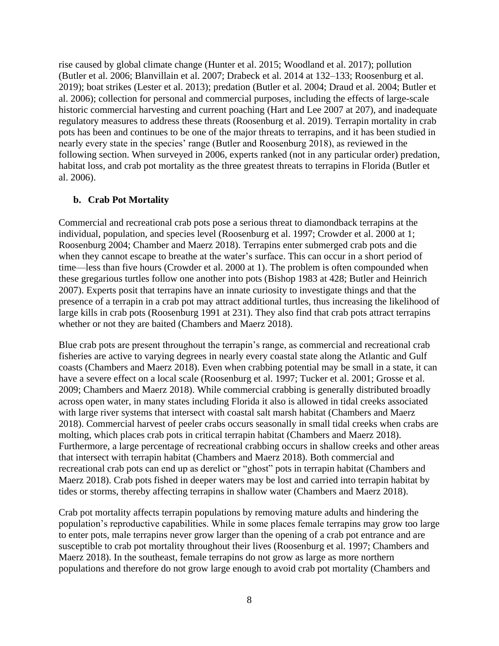rise caused by global climate change (Hunter et al. 2015; Woodland et al. 2017); pollution (Butler et al. 2006; Blanvillain et al. 2007; Drabeck et al. 2014 at 132–133; Roosenburg et al. 2019); boat strikes (Lester et al. 2013); predation (Butler et al. 2004; Draud et al. 2004; Butler et al. 2006); collection for personal and commercial purposes, including the effects of large-scale historic commercial harvesting and current poaching (Hart and Lee 2007 at 207), and inadequate regulatory measures to address these threats (Roosenburg et al. 2019). Terrapin mortality in crab pots has been and continues to be one of the major threats to terrapins, and it has been studied in nearly every state in the species' range (Butler and Roosenburg 2018), as reviewed in the following section. When surveyed in 2006, experts ranked (not in any particular order) predation, habitat loss, and crab pot mortality as the three greatest threats to terrapins in Florida (Butler et al. 2006).

#### <span id="page-7-0"></span>**b. Crab Pot Mortality**

Commercial and recreational crab pots pose a serious threat to diamondback terrapins at the individual, population, and species level (Roosenburg et al. 1997; Crowder et al. 2000 at 1; Roosenburg 2004; Chamber and Maerz 2018). Terrapins enter submerged crab pots and die when they cannot escape to breathe at the water's surface. This can occur in a short period of time—less than five hours (Crowder et al. 2000 at 1). The problem is often compounded when these gregarious turtles follow one another into pots (Bishop 1983 at 428; Butler and Heinrich 2007). Experts posit that terrapins have an innate curiosity to investigate things and that the presence of a terrapin in a crab pot may attract additional turtles, thus increasing the likelihood of large kills in crab pots (Roosenburg 1991 at 231). They also find that crab pots attract terrapins whether or not they are baited (Chambers and Maerz 2018).

Blue crab pots are present throughout the terrapin's range, as commercial and recreational crab fisheries are active to varying degrees in nearly every coastal state along the Atlantic and Gulf coasts (Chambers and Maerz 2018). Even when crabbing potential may be small in a state, it can have a severe effect on a local scale (Roosenburg et al. 1997; Tucker et al. 2001; Grosse et al. 2009; Chambers and Maerz 2018). While commercial crabbing is generally distributed broadly across open water, in many states including Florida it also is allowed in tidal creeks associated with large river systems that intersect with coastal salt marsh habitat (Chambers and Maerz 2018). Commercial harvest of peeler crabs occurs seasonally in small tidal creeks when crabs are molting, which places crab pots in critical terrapin habitat (Chambers and Maerz 2018). Furthermore, a large percentage of recreational crabbing occurs in shallow creeks and other areas that intersect with terrapin habitat (Chambers and Maerz 2018). Both commercial and recreational crab pots can end up as derelict or "ghost" pots in terrapin habitat (Chambers and Maerz 2018). Crab pots fished in deeper waters may be lost and carried into terrapin habitat by tides or storms, thereby affecting terrapins in shallow water (Chambers and Maerz 2018).

Crab pot mortality affects terrapin populations by removing mature adults and hindering the population's reproductive capabilities. While in some places female terrapins may grow too large to enter pots, male terrapins never grow larger than the opening of a crab pot entrance and are susceptible to crab pot mortality throughout their lives (Roosenburg et al. 1997; Chambers and Maerz 2018). In the southeast, female terrapins do not grow as large as more northern populations and therefore do not grow large enough to avoid crab pot mortality (Chambers and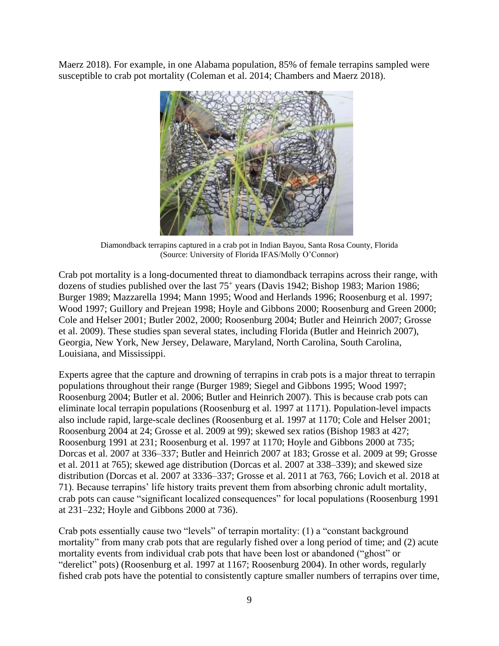Maerz 2018). For example, in one Alabama population, 85% of female terrapins sampled were susceptible to crab pot mortality (Coleman et al. 2014; Chambers and Maerz 2018).



Diamondback terrapins captured in a crab pot in Indian Bayou, Santa Rosa County, Florida (Source: [University of Florida IFAS/](http://nwdistrict.ifas.ufl.edu/nat/2012/12/05/terrapins/)Molly O'Connor)

Crab pot mortality is a long-documented threat to diamondback terrapins across their range, with dozens of studies published over the last 75<sup>+</sup> years (Davis 1942; Bishop 1983; Marion 1986; Burger 1989; Mazzarella 1994; Mann 1995; Wood and Herlands 1996; Roosenburg et al. 1997; Wood 1997; Guillory and Prejean 1998; Hoyle and Gibbons 2000; Roosenburg and Green 2000; Cole and Helser 2001; Butler 2002, 2000; Roosenburg 2004; Butler and Heinrich 2007; Grosse et al. 2009). These studies span several states, including Florida (Butler and Heinrich 2007), Georgia, New York, New Jersey, Delaware, Maryland, North Carolina, South Carolina, Louisiana, and Mississippi.

Experts agree that the capture and drowning of terrapins in crab pots is a major threat to terrapin populations throughout their range (Burger 1989; Siegel and Gibbons 1995; Wood 1997; Roosenburg 2004; Butler et al. 2006; Butler and Heinrich 2007). This is because crab pots can eliminate local terrapin populations (Roosenburg et al. 1997 at 1171). Population-level impacts also include rapid, large-scale declines (Roosenburg et al. 1997 at 1170; Cole and Helser 2001; Roosenburg 2004 at 24; Grosse et al. 2009 at 99); skewed sex ratios (Bishop 1983 at 427; Roosenburg 1991 at 231; Roosenburg et al. 1997 at 1170; Hoyle and Gibbons 2000 at 735; Dorcas et al. 2007 at 336–337; Butler and Heinrich 2007 at 183; Grosse et al. 2009 at 99; Grosse et al. 2011 at 765); skewed age distribution (Dorcas et al. 2007 at 338–339); and skewed size distribution (Dorcas et al. 2007 at 3336–337; Grosse et al. 2011 at 763, 766; Lovich et al. 2018 at 71). Because terrapins' life history traits prevent them from absorbing chronic adult mortality, crab pots can cause "significant localized consequences" for local populations (Roosenburg 1991 at 231–232; Hoyle and Gibbons 2000 at 736).

Crab pots essentially cause two "levels" of terrapin mortality: (1) a "constant background mortality" from many crab pots that are regularly fished over a long period of time; and (2) acute mortality events from individual crab pots that have been lost or abandoned ("ghost" or "derelict" pots) (Roosenburg et al. 1997 at 1167; Roosenburg 2004). In other words, regularly fished crab pots have the potential to consistently capture smaller numbers of terrapins over time,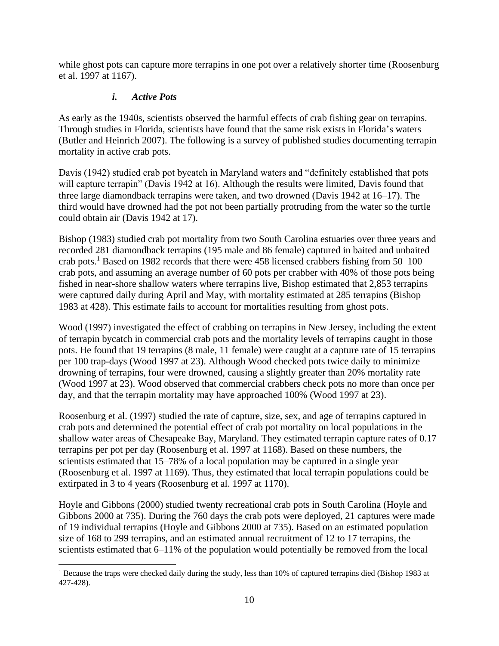while ghost pots can capture more terrapins in one pot over a relatively shorter time (Roosenburg et al. 1997 at 1167).

## *i. Active Pots*

 $\overline{\phantom{a}}$ 

<span id="page-9-0"></span>As early as the 1940s, scientists observed the harmful effects of crab fishing gear on terrapins. Through studies in Florida, scientists have found that the same risk exists in Florida's waters (Butler and Heinrich 2007). The following is a survey of published studies documenting terrapin mortality in active crab pots.

Davis (1942) studied crab pot bycatch in Maryland waters and "definitely established that pots will capture terrapin" (Davis 1942 at 16). Although the results were limited, Davis found that three large diamondback terrapins were taken, and two drowned (Davis 1942 at 16–17). The third would have drowned had the pot not been partially protruding from the water so the turtle could obtain air (Davis 1942 at 17).

Bishop (1983) studied crab pot mortality from two South Carolina estuaries over three years and recorded 281 diamondback terrapins (195 male and 86 female) captured in baited and unbaited crab pots.<sup>1</sup> Based on 1982 records that there were 458 licensed crabbers fishing from 50–100 crab pots, and assuming an average number of 60 pots per crabber with 40% of those pots being fished in near-shore shallow waters where terrapins live, Bishop estimated that 2,853 terrapins were captured daily during April and May, with mortality estimated at 285 terrapins (Bishop 1983 at 428). This estimate fails to account for mortalities resulting from ghost pots.

Wood (1997) investigated the effect of crabbing on terrapins in New Jersey, including the extent of terrapin bycatch in commercial crab pots and the mortality levels of terrapins caught in those pots. He found that 19 terrapins (8 male, 11 female) were caught at a capture rate of 15 terrapins per 100 trap-days (Wood 1997 at 23). Although Wood checked pots twice daily to minimize drowning of terrapins, four were drowned, causing a slightly greater than 20% mortality rate (Wood 1997 at 23). Wood observed that commercial crabbers check pots no more than once per day, and that the terrapin mortality may have approached 100% (Wood 1997 at 23).

Roosenburg et al. (1997) studied the rate of capture, size, sex, and age of terrapins captured in crab pots and determined the potential effect of crab pot mortality on local populations in the shallow water areas of Chesapeake Bay, Maryland. They estimated terrapin capture rates of 0.17 terrapins per pot per day (Roosenburg et al. 1997 at 1168). Based on these numbers, the scientists estimated that 15–78% of a local population may be captured in a single year (Roosenburg et al. 1997 at 1169). Thus, they estimated that local terrapin populations could be extirpated in 3 to 4 years (Roosenburg et al. 1997 at 1170).

Hoyle and Gibbons (2000) studied twenty recreational crab pots in South Carolina (Hoyle and Gibbons 2000 at 735). During the 760 days the crab pots were deployed, 21 captures were made of 19 individual terrapins (Hoyle and Gibbons 2000 at 735). Based on an estimated population size of 168 to 299 terrapins, and an estimated annual recruitment of 12 to 17 terrapins, the scientists estimated that 6–11% of the population would potentially be removed from the local

<sup>&</sup>lt;sup>1</sup> Because the traps were checked daily during the study, less than 10% of captured terrapins died (Bishop 1983 at 427-428).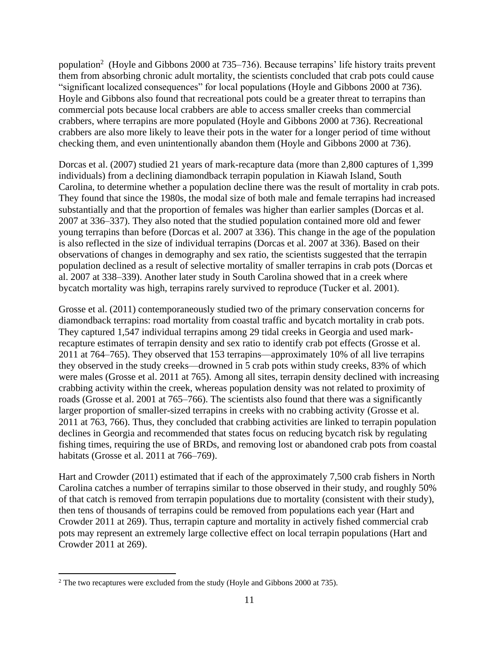population<sup>2</sup> (Hoyle and Gibbons 2000 at 735–736). Because terrapins' life history traits prevent them from absorbing chronic adult mortality, the scientists concluded that crab pots could cause "significant localized consequences" for local populations (Hoyle and Gibbons 2000 at 736). Hoyle and Gibbons also found that recreational pots could be a greater threat to terrapins than commercial pots because local crabbers are able to access smaller creeks than commercial crabbers, where terrapins are more populated (Hoyle and Gibbons 2000 at 736). Recreational crabbers are also more likely to leave their pots in the water for a longer period of time without checking them, and even unintentionally abandon them (Hoyle and Gibbons 2000 at 736).

Dorcas et al. (2007) studied 21 years of mark-recapture data (more than 2,800 captures of 1,399 individuals) from a declining diamondback terrapin population in Kiawah Island, South Carolina, to determine whether a population decline there was the result of mortality in crab pots. They found that since the 1980s, the modal size of both male and female terrapins had increased substantially and that the proportion of females was higher than earlier samples (Dorcas et al. 2007 at 336–337). They also noted that the studied population contained more old and fewer young terrapins than before (Dorcas et al. 2007 at 336). This change in the age of the population is also reflected in the size of individual terrapins (Dorcas et al. 2007 at 336). Based on their observations of changes in demography and sex ratio, the scientists suggested that the terrapin population declined as a result of selective mortality of smaller terrapins in crab pots (Dorcas et al. 2007 at 338–339). Another later study in South Carolina showed that in a creek where bycatch mortality was high, terrapins rarely survived to reproduce (Tucker et al. 2001).

Grosse et al. (2011) contemporaneously studied two of the primary conservation concerns for diamondback terrapins: road mortality from coastal traffic and bycatch mortality in crab pots. They captured 1,547 individual terrapins among 29 tidal creeks in Georgia and used markrecapture estimates of terrapin density and sex ratio to identify crab pot effects (Grosse et al. 2011 at 764–765). They observed that 153 terrapins—approximately 10% of all live terrapins they observed in the study creeks—drowned in 5 crab pots within study creeks, 83% of which were males (Grosse et al. 2011 at 765). Among all sites, terrapin density declined with increasing crabbing activity within the creek, whereas population density was not related to proximity of roads (Grosse et al. 2001 at 765–766). The scientists also found that there was a significantly larger proportion of smaller-sized terrapins in creeks with no crabbing activity (Grosse et al. 2011 at 763, 766). Thus, they concluded that crabbing activities are linked to terrapin population declines in Georgia and recommended that states focus on reducing bycatch risk by regulating fishing times, requiring the use of BRDs, and removing lost or abandoned crab pots from coastal habitats (Grosse et al. 2011 at 766–769).

Hart and Crowder (2011) estimated that if each of the approximately 7,500 crab fishers in North Carolina catches a number of terrapins similar to those observed in their study, and roughly 50% of that catch is removed from terrapin populations due to mortality (consistent with their study), then tens of thousands of terrapins could be removed from populations each year (Hart and Crowder 2011 at 269). Thus, terrapin capture and mortality in actively fished commercial crab pots may represent an extremely large collective effect on local terrapin populations (Hart and Crowder 2011 at 269).

 $\overline{\phantom{a}}$ 

<sup>&</sup>lt;sup>2</sup> The two recaptures were excluded from the study (Hoyle and Gibbons 2000 at 735).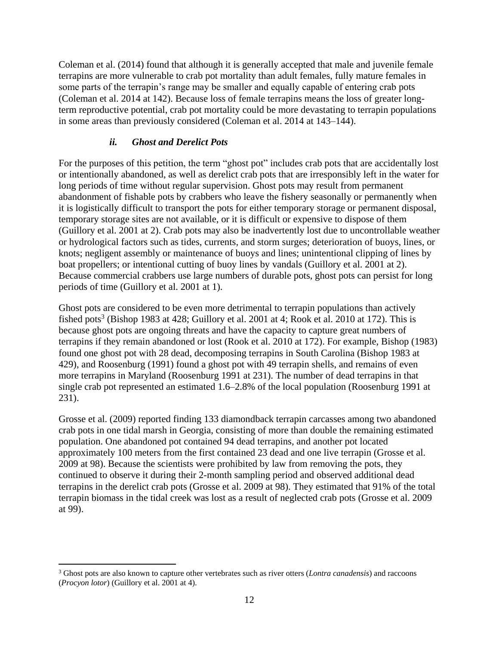Coleman et al. (2014) found that although it is generally accepted that male and juvenile female terrapins are more vulnerable to crab pot mortality than adult females, fully mature females in some parts of the terrapin's range may be smaller and equally capable of entering crab pots (Coleman et al. 2014 at 142). Because loss of female terrapins means the loss of greater longterm reproductive potential, crab pot mortality could be more devastating to terrapin populations in some areas than previously considered (Coleman et al. 2014 at 143–144).

## *ii. Ghost and Derelict Pots*

<span id="page-11-0"></span>For the purposes of this petition, the term "ghost pot" includes crab pots that are accidentally lost or intentionally abandoned, as well as derelict crab pots that are irresponsibly left in the water for long periods of time without regular supervision. Ghost pots may result from permanent abandonment of fishable pots by crabbers who leave the fishery seasonally or permanently when it is logistically difficult to transport the pots for either temporary storage or permanent disposal, temporary storage sites are not available, or it is difficult or expensive to dispose of them (Guillory et al. 2001 at 2). Crab pots may also be inadvertently lost due to uncontrollable weather or hydrological factors such as tides, currents, and storm surges; deterioration of buoys, lines, or knots; negligent assembly or maintenance of buoys and lines; unintentional clipping of lines by boat propellers; or intentional cutting of buoy lines by vandals (Guillory et al. 2001 at 2). Because commercial crabbers use large numbers of durable pots, ghost pots can persist for long periods of time (Guillory et al. 2001 at 1).

Ghost pots are considered to be even more detrimental to terrapin populations than actively fished pots<sup>3</sup> (Bishop 1983 at 428; Guillory et al. 2001 at 4; Rook et al. 2010 at 172). This is because ghost pots are ongoing threats and have the capacity to capture great numbers of terrapins if they remain abandoned or lost (Rook et al. 2010 at 172). For example, Bishop (1983) found one ghost pot with 28 dead, decomposing terrapins in South Carolina (Bishop 1983 at 429), and Roosenburg (1991) found a ghost pot with 49 terrapin shells, and remains of even more terrapins in Maryland (Roosenburg 1991 at 231). The number of dead terrapins in that single crab pot represented an estimated 1.6–2.8% of the local population (Roosenburg 1991 at 231).

Grosse et al. (2009) reported finding 133 diamondback terrapin carcasses among two abandoned crab pots in one tidal marsh in Georgia, consisting of more than double the remaining estimated population. One abandoned pot contained 94 dead terrapins, and another pot located approximately 100 meters from the first contained 23 dead and one live terrapin (Grosse et al. 2009 at 98). Because the scientists were prohibited by law from removing the pots, they continued to observe it during their 2-month sampling period and observed additional dead terrapins in the derelict crab pots (Grosse et al. 2009 at 98). They estimated that 91% of the total terrapin biomass in the tidal creek was lost as a result of neglected crab pots (Grosse et al. 2009 at 99).

 $\overline{\phantom{a}}$ 

<sup>3</sup> Ghost pots are also known to capture other vertebrates such as river otters (*Lontra canadensis*) and raccoons (*Procyon lotor*) (Guillory et al. 2001 at 4).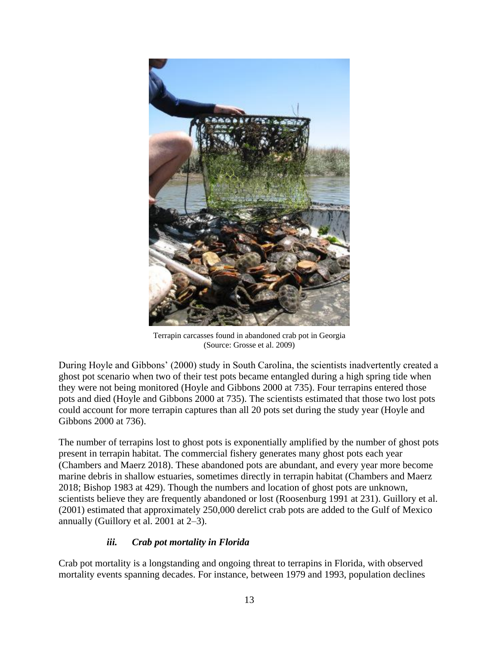

Terrapin carcasses found in abandoned crab pot in Georgia (Source: Grosse et al. 2009)

During Hoyle and Gibbons' (2000) study in South Carolina, the scientists inadvertently created a ghost pot scenario when two of their test pots became entangled during a high spring tide when they were not being monitored (Hoyle and Gibbons 2000 at 735). Four terrapins entered those pots and died (Hoyle and Gibbons 2000 at 735). The scientists estimated that those two lost pots could account for more terrapin captures than all 20 pots set during the study year (Hoyle and Gibbons 2000 at 736).

The number of terrapins lost to ghost pots is exponentially amplified by the number of ghost pots present in terrapin habitat. The commercial fishery generates many ghost pots each year (Chambers and Maerz 2018). These abandoned pots are abundant, and every year more become marine debris in shallow estuaries, sometimes directly in terrapin habitat (Chambers and Maerz 2018; Bishop 1983 at 429). Though the numbers and location of ghost pots are unknown, scientists believe they are frequently abandoned or lost (Roosenburg 1991 at 231). Guillory et al. (2001) estimated that approximately 250,000 derelict crab pots are added to the Gulf of Mexico annually (Guillory et al. 2001 at 2–3).

## *iii. Crab pot mortality in Florida*

<span id="page-12-0"></span>Crab pot mortality is a longstanding and ongoing threat to terrapins in Florida, with observed mortality events spanning decades. For instance, between 1979 and 1993, population declines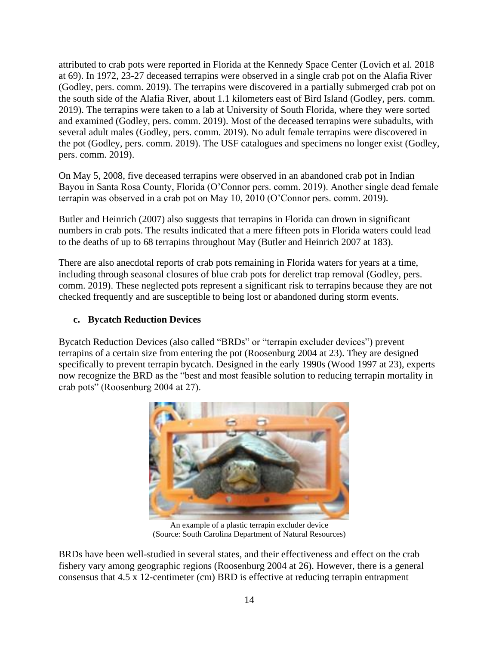attributed to crab pots were reported in Florida at the Kennedy Space Center (Lovich et al. 2018 at 69). In 1972, 23-27 deceased terrapins were observed in a single crab pot on the Alafia River (Godley, pers. comm. 2019). The terrapins were discovered in a partially submerged crab pot on the south side of the Alafia River, about 1.1 kilometers east of Bird Island (Godley, pers. comm. 2019). The terrapins were taken to a lab at University of South Florida, where they were sorted and examined (Godley, pers. comm. 2019). Most of the deceased terrapins were subadults, with several adult males (Godley, pers. comm. 2019). No adult female terrapins were discovered in the pot (Godley, pers. comm. 2019). The USF catalogues and specimens no longer exist (Godley, pers. comm. 2019).

On May 5, 2008, five deceased terrapins were observed in an abandoned crab pot in Indian Bayou in Santa Rosa County, Florida (O'Connor pers. comm. 2019). Another single dead female terrapin was observed in a crab pot on May 10, 2010 (O'Connor pers. comm. 2019).

Butler and Heinrich (2007) also suggests that terrapins in Florida can drown in significant numbers in crab pots. The results indicated that a mere fifteen pots in Florida waters could lead to the deaths of up to 68 terrapins throughout May (Butler and Heinrich 2007 at 183).

There are also anecdotal reports of crab pots remaining in Florida waters for years at a time, including through seasonal closures of blue crab pots for derelict trap removal (Godley, pers. comm. 2019). These neglected pots represent a significant risk to terrapins because they are not checked frequently and are susceptible to being lost or abandoned during storm events.

#### <span id="page-13-0"></span>**c. Bycatch Reduction Devices**

Bycatch Reduction Devices (also called "BRDs" or "terrapin excluder devices") prevent terrapins of a certain size from entering the pot (Roosenburg 2004 at 23). They are designed specifically to prevent terrapin bycatch. Designed in the early 1990s (Wood 1997 at 23), experts now recognize the BRD as the "best and most feasible solution to reducing terrapin mortality in crab pots" (Roosenburg 2004 at 27).



An example of a plastic terrapin excluder device (Source: [South Carolina Department of Natural Resources\)](http://www.dnr.sc.gov/wildlife/diamondbackterrapin/research/fisheries.html)

BRDs have been well-studied in several states, and their effectiveness and effect on the crab fishery vary among geographic regions (Roosenburg 2004 at 26). However, there is a general consensus that 4.5 x 12-centimeter (cm) BRD is effective at reducing terrapin entrapment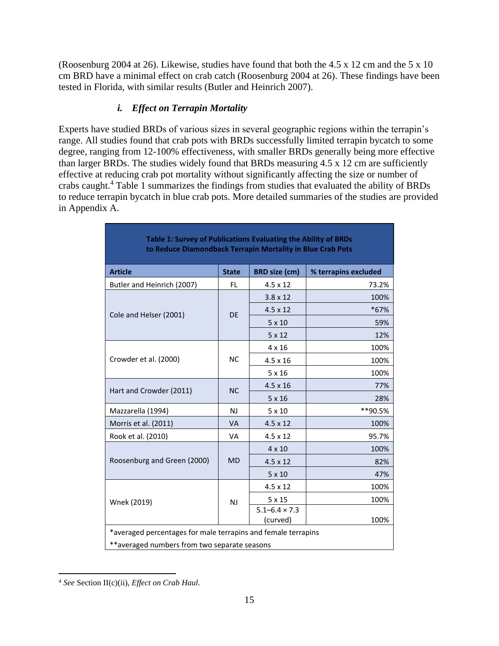(Roosenburg 2004 at 26). Likewise, studies have found that both the 4.5 x 12 cm and the 5 x 10 cm BRD have a minimal effect on crab catch (Roosenburg 2004 at 26). These findings have been tested in Florida, with similar results (Butler and Heinrich 2007).

# *i. Effect on Terrapin Mortality*

<span id="page-14-0"></span>Experts have studied BRDs of various sizes in several geographic regions within the terrapin's range. All studies found that crab pots with BRDs successfully limited terrapin bycatch to some degree, ranging from 12-100% effectiveness, with smaller BRDs generally being more effective than larger BRDs. The studies widely found that BRDs measuring 4.5 x 12 cm are sufficiently effective at reducing crab pot mortality without significantly affecting the size or number of crabs caught.<sup>4</sup> Table 1 summarizes the findings from studies that evaluated the ability of BRDs to reduce terrapin bycatch in blue crab pots. More detailed summaries of the studies are provided in Appendix A.

| Table 1: Survey of Publications Evaluating the Ability of BRDs<br>to Reduce Diamondback Terrapin Mortality in Blue Crab Pots |              |                                    |                      |  |  |
|------------------------------------------------------------------------------------------------------------------------------|--------------|------------------------------------|----------------------|--|--|
| <b>Article</b>                                                                                                               | <b>State</b> | <b>BRD</b> size (cm)               | % terrapins excluded |  |  |
| Butler and Heinrich (2007)                                                                                                   | FL.          | $4.5 \times 12$                    | 73.2%                |  |  |
|                                                                                                                              | <b>DE</b>    | $3.8 \times 12$                    | 100%                 |  |  |
| Cole and Helser (2001)                                                                                                       |              | $4.5 \times 12$                    | *67%                 |  |  |
|                                                                                                                              |              | $5 \times 10$                      | 59%                  |  |  |
|                                                                                                                              |              | 5x12                               | 12%                  |  |  |
|                                                                                                                              | <b>NC</b>    | $4 \times 16$                      | 100%                 |  |  |
| Crowder et al. (2000)                                                                                                        |              | $4.5 \times 16$                    | 100%                 |  |  |
|                                                                                                                              |              | 5x16                               | 100%                 |  |  |
| Hart and Crowder (2011)                                                                                                      | NC           | $4.5 \times 16$                    | 77%                  |  |  |
|                                                                                                                              |              | 5x16                               | 28%                  |  |  |
| Mazzarella (1994)                                                                                                            | NJ           | $5 \times 10$                      | **90.5%              |  |  |
| Morris et al. (2011)                                                                                                         | <b>VA</b>    | $4.5 \times 12$                    | 100%                 |  |  |
| Rook et al. (2010)                                                                                                           | <b>VA</b>    | $4.5 \times 12$                    | 95.7%                |  |  |
|                                                                                                                              | <b>MD</b>    | $4 \times 10$                      | 100%                 |  |  |
| Roosenburg and Green (2000)                                                                                                  |              | $4.5 \times 12$                    | 82%                  |  |  |
|                                                                                                                              |              | $5 \times 10$                      | 47%                  |  |  |
|                                                                                                                              | NJ           | 4.5 x 12                           | 100%                 |  |  |
| Wnek (2019)                                                                                                                  |              | 5x15                               | 100%                 |  |  |
|                                                                                                                              |              | $5.1 - 6.4 \times 7.3$<br>(curved) | 100%                 |  |  |
| *averaged percentages for male terrapins and female terrapins                                                                |              |                                    |                      |  |  |
| **averaged numbers from two separate seasons                                                                                 |              |                                    |                      |  |  |
|                                                                                                                              |              |                                    |                      |  |  |

 $\overline{\phantom{a}}$ <sup>4</sup> *See* Section II(c)(ii), *Effect on Crab Haul*.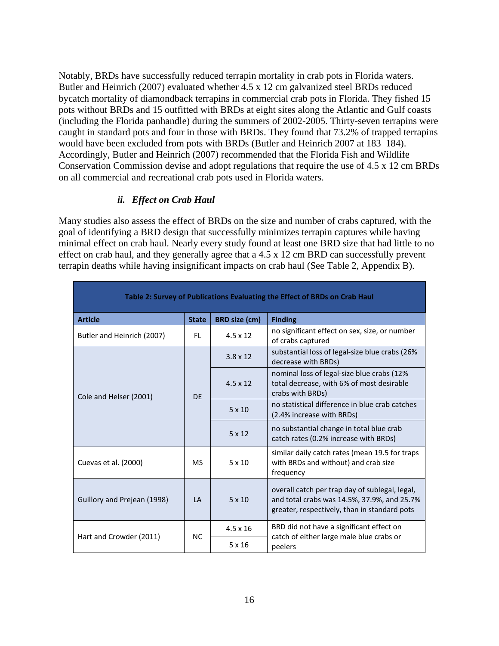Notably, BRDs have successfully reduced terrapin mortality in crab pots in Florida waters. Butler and Heinrich (2007) evaluated whether 4.5 x 12 cm galvanized steel BRDs reduced bycatch mortality of diamondback terrapins in commercial crab pots in Florida. They fished 15 pots without BRDs and 15 outfitted with BRDs at eight sites along the Atlantic and Gulf coasts (including the Florida panhandle) during the summers of 2002-2005. Thirty-seven terrapins were caught in standard pots and four in those with BRDs. They found that 73.2% of trapped terrapins would have been excluded from pots with BRDs (Butler and Heinrich 2007 at 183–184). Accordingly, Butler and Heinrich (2007) recommended that the Florida Fish and Wildlife Conservation Commission devise and adopt regulations that require the use of 4.5 x 12 cm BRDs on all commercial and recreational crab pots used in Florida waters.

## *ii. Effect on Crab Haul*

<span id="page-15-0"></span>Many studies also assess the effect of BRDs on the size and number of crabs captured, with the goal of identifying a BRD design that successfully minimizes terrapin captures while having minimal effect on crab haul. Nearly every study found at least one BRD size that had little to no effect on crab haul, and they generally agree that a 4.5 x 12 cm BRD can successfully prevent terrapin deaths while having insignificant impacts on crab haul (See Table 2, Appendix B).

| Table 2: Survey of Publications Evaluating the Effect of BRDs on Crab Haul |                |                      |                                                                                                                                               |  |  |  |  |
|----------------------------------------------------------------------------|----------------|----------------------|-----------------------------------------------------------------------------------------------------------------------------------------------|--|--|--|--|
| <b>Article</b>                                                             | <b>State</b>   | <b>BRD</b> size (cm) | <b>Finding</b>                                                                                                                                |  |  |  |  |
| Butler and Heinrich (2007)                                                 | FL             | $4.5 \times 12$      | no significant effect on sex, size, or number<br>of crabs captured                                                                            |  |  |  |  |
|                                                                            | <b>DE</b>      | $3.8 \times 12$      | substantial loss of legal-size blue crabs (26%<br>decrease with BRDs)                                                                         |  |  |  |  |
| Cole and Helser (2001)                                                     |                | $4.5 \times 12$      | nominal loss of legal-size blue crabs (12%<br>total decrease, with 6% of most desirable<br>crabs with BRDs)                                   |  |  |  |  |
|                                                                            |                | $5 \times 10$        | no statistical difference in blue crab catches<br>(2.4% increase with BRDs)                                                                   |  |  |  |  |
|                                                                            |                | 5x12                 | no substantial change in total blue crab<br>catch rates (0.2% increase with BRDs)                                                             |  |  |  |  |
| Cuevas et al. (2000)                                                       | <b>MS</b>      | $5 \times 10$        | similar daily catch rates (mean 19.5 for traps<br>with BRDs and without) and crab size<br>frequency                                           |  |  |  |  |
| Guillory and Prejean (1998)                                                | $\overline{A}$ | $5 \times 10$        | overall catch per trap day of sublegal, legal,<br>and total crabs was 14.5%, 37.9%, and 25.7%<br>greater, respectively, than in standard pots |  |  |  |  |
|                                                                            | <b>NC</b>      | $4.5 \times 16$      | BRD did not have a significant effect on                                                                                                      |  |  |  |  |
| Hart and Crowder (2011)                                                    |                | $5 \times 16$        | catch of either large male blue crabs or<br>peelers                                                                                           |  |  |  |  |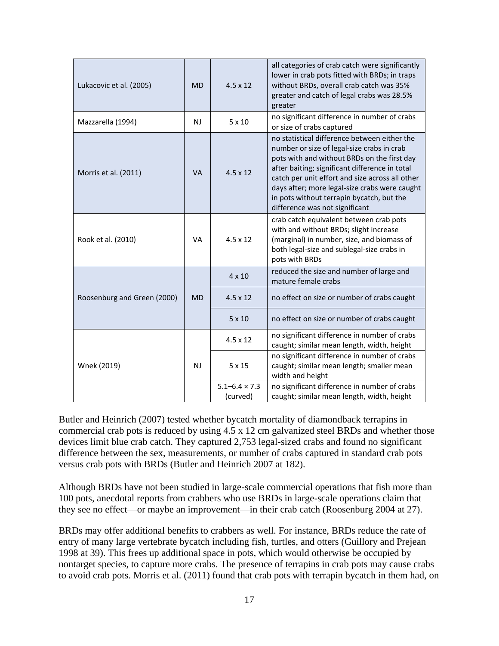| Lukacovic et al. (2005)     | <b>MD</b>      | $4.5 \times 12$                    | all categories of crab catch were significantly<br>lower in crab pots fitted with BRDs; in traps<br>without BRDs, overall crab catch was 35%<br>greater and catch of legal crabs was 28.5%<br>greater                                                                                                                                                                          |
|-----------------------------|----------------|------------------------------------|--------------------------------------------------------------------------------------------------------------------------------------------------------------------------------------------------------------------------------------------------------------------------------------------------------------------------------------------------------------------------------|
| Mazzarella (1994)           | N <sub>J</sub> | $5 \times 10$                      | no significant difference in number of crabs<br>or size of crabs captured                                                                                                                                                                                                                                                                                                      |
| Morris et al. (2011)        | <b>VA</b>      | $4.5 \times 12$                    | no statistical difference between either the<br>number or size of legal-size crabs in crab<br>pots with and without BRDs on the first day<br>after baiting; significant difference in total<br>catch per unit effort and size across all other<br>days after; more legal-size crabs were caught<br>in pots without terrapin bycatch, but the<br>difference was not significant |
| Rook et al. (2010)          | <b>VA</b>      | $4.5 \times 12$                    | crab catch equivalent between crab pots<br>with and without BRDs; slight increase<br>(marginal) in number, size, and biomass of<br>both legal-size and sublegal-size crabs in<br>pots with BRDs                                                                                                                                                                                |
|                             | <b>MD</b>      | $4 \times 10$                      | reduced the size and number of large and<br>mature female crabs                                                                                                                                                                                                                                                                                                                |
| Roosenburg and Green (2000) |                | $4.5 \times 12$                    | no effect on size or number of crabs caught                                                                                                                                                                                                                                                                                                                                    |
|                             |                | $5 \times 10$                      | no effect on size or number of crabs caught                                                                                                                                                                                                                                                                                                                                    |
|                             | N <sub>J</sub> | $4.5 \times 12$                    | no significant difference in number of crabs<br>caught; similar mean length, width, height                                                                                                                                                                                                                                                                                     |
| Wnek (2019)                 |                | 5x15                               | no significant difference in number of crabs<br>caught; similar mean length; smaller mean<br>width and height                                                                                                                                                                                                                                                                  |
|                             |                | $5.1 - 6.4 \times 7.3$<br>(curved) | no significant difference in number of crabs<br>caught; similar mean length, width, height                                                                                                                                                                                                                                                                                     |

Butler and Heinrich (2007) tested whether bycatch mortality of diamondback terrapins in commercial crab pots is reduced by using 4.5 x 12 cm galvanized steel BRDs and whether those devices limit blue crab catch. They captured 2,753 legal-sized crabs and found no significant difference between the sex, measurements, or number of crabs captured in standard crab pots versus crab pots with BRDs (Butler and Heinrich 2007 at 182).

Although BRDs have not been studied in large-scale commercial operations that fish more than 100 pots, anecdotal reports from crabbers who use BRDs in large-scale operations claim that they see no effect—or maybe an improvement—in their crab catch (Roosenburg 2004 at 27).

BRDs may offer additional benefits to crabbers as well. For instance, BRDs reduce the rate of entry of many large vertebrate bycatch including fish, turtles, and otters (Guillory and Prejean 1998 at 39). This frees up additional space in pots, which would otherwise be occupied by nontarget species, to capture more crabs. The presence of terrapins in crab pots may cause crabs to avoid crab pots. Morris et al. (2011) found that crab pots with terrapin bycatch in them had, on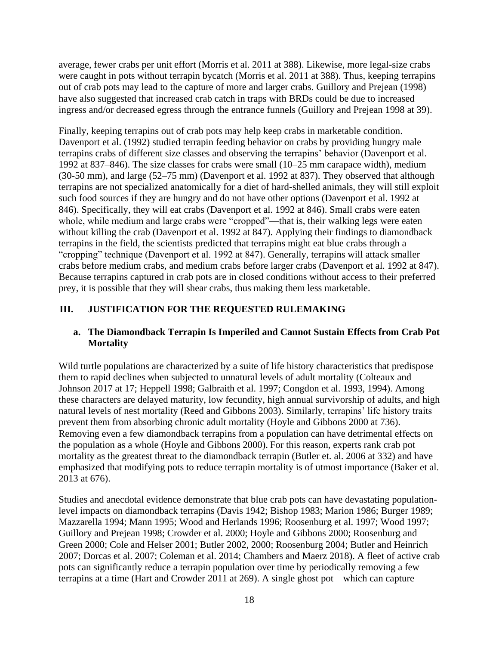average, fewer crabs per unit effort (Morris et al. 2011 at 388). Likewise, more legal-size crabs were caught in pots without terrapin bycatch (Morris et al. 2011 at 388). Thus, keeping terrapins out of crab pots may lead to the capture of more and larger crabs. Guillory and Prejean (1998) have also suggested that increased crab catch in traps with BRDs could be due to increased ingress and/or decreased egress through the entrance funnels (Guillory and Prejean 1998 at 39).

Finally, keeping terrapins out of crab pots may help keep crabs in marketable condition. Davenport et al. (1992) studied terrapin feeding behavior on crabs by providing hungry male terrapins crabs of different size classes and observing the terrapins' behavior (Davenport et al. 1992 at 837–846). The size classes for crabs were small (10–25 mm carapace width), medium (30-50 mm), and large (52–75 mm) (Davenport et al. 1992 at 837). They observed that although terrapins are not specialized anatomically for a diet of hard-shelled animals, they will still exploit such food sources if they are hungry and do not have other options (Davenport et al. 1992 at 846). Specifically, they will eat crabs (Davenport et al. 1992 at 846). Small crabs were eaten whole, while medium and large crabs were "cropped"—that is, their walking legs were eaten without killing the crab (Davenport et al. 1992 at 847). Applying their findings to diamondback terrapins in the field, the scientists predicted that terrapins might eat blue crabs through a "cropping" technique (Davenport et al. 1992 at 847). Generally, terrapins will attack smaller crabs before medium crabs, and medium crabs before larger crabs (Davenport et al. 1992 at 847). Because terrapins captured in crab pots are in closed conditions without access to their preferred prey, it is possible that they will shear crabs, thus making them less marketable.

## <span id="page-17-0"></span>**III. JUSTIFICATION FOR THE REQUESTED RULEMAKING**

#### <span id="page-17-1"></span>**a. The Diamondback Terrapin Is Imperiled and Cannot Sustain Effects from Crab Pot Mortality**

Wild turtle populations are characterized by a suite of life history characteristics that predispose them to rapid declines when subjected to unnatural levels of adult mortality (Colteaux and Johnson 2017 at 17; Heppell 1998; Galbraith et al. 1997; Congdon et al. 1993, 1994). Among these characters are delayed maturity, low fecundity, high annual survivorship of adults, and high natural levels of nest mortality (Reed and Gibbons 2003). Similarly, terrapins' life history traits prevent them from absorbing chronic adult mortality (Hoyle and Gibbons 2000 at 736). Removing even a few diamondback terrapins from a population can have detrimental effects on the population as a whole (Hoyle and Gibbons 2000). For this reason, experts rank crab pot mortality as the greatest threat to the diamondback terrapin (Butler et. al. 2006 at 332) and have emphasized that modifying pots to reduce terrapin mortality is of utmost importance (Baker et al. 2013 at 676).

Studies and anecdotal evidence demonstrate that blue crab pots can have devastating populationlevel impacts on diamondback terrapins (Davis 1942; Bishop 1983; Marion 1986; Burger 1989; Mazzarella 1994; Mann 1995; Wood and Herlands 1996; Roosenburg et al. 1997; Wood 1997; Guillory and Prejean 1998; Crowder et al. 2000; Hoyle and Gibbons 2000; Roosenburg and Green 2000; Cole and Helser 2001; Butler 2002, 2000; Roosenburg 2004; Butler and Heinrich 2007; Dorcas et al. 2007; Coleman et al. 2014; Chambers and Maerz 2018). A fleet of active crab pots can significantly reduce a terrapin population over time by periodically removing a few terrapins at a time (Hart and Crowder 2011 at 269). A single ghost pot—which can capture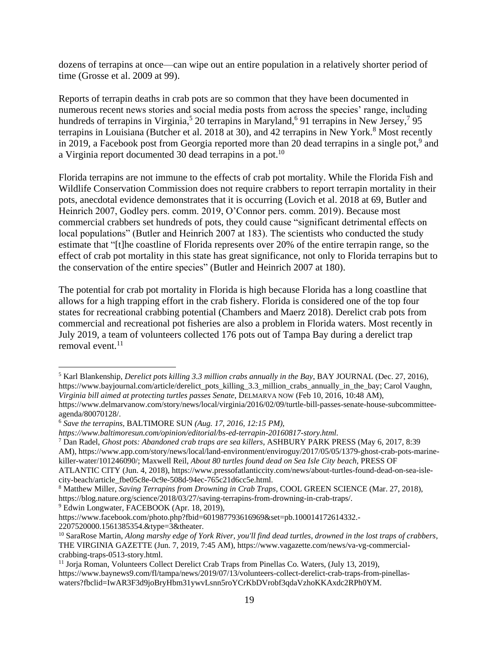dozens of terrapins at once—can wipe out an entire population in a relatively shorter period of time (Grosse et al. 2009 at 99).

Reports of terrapin deaths in crab pots are so common that they have been documented in numerous recent news stories and social media posts from across the species' range, including hundreds of terrapins in Virginia,<sup>5</sup> 20 terrapins in Maryland,<sup>6</sup> 91 terrapins in New Jersey,<sup>7</sup> 95 terrapins in Louisiana (Butcher et al. 2018 at 30), and 42 terrapins in New York.<sup>8</sup> Most recently in 2019, a Facebook post from Georgia reported more than 20 dead terrapins in a single pot,<sup>9</sup> and a Virginia report documented 30 dead terrapins in a pot.<sup>10</sup>

Florida terrapins are not immune to the effects of crab pot mortality. While the Florida Fish and Wildlife Conservation Commission does not require crabbers to report terrapin mortality in their pots, anecdotal evidence demonstrates that it is occurring (Lovich et al. 2018 at 69, Butler and Heinrich 2007, Godley pers. comm. 2019, O'Connor pers. comm. 2019). Because most commercial crabbers set hundreds of pots, they could cause "significant detrimental effects on local populations" (Butler and Heinrich 2007 at 183). The scientists who conducted the study estimate that "[t]he coastline of Florida represents over 20% of the entire terrapin range, so the effect of crab pot mortality in this state has great significance, not only to Florida terrapins but to the conservation of the entire species" (Butler and Heinrich 2007 at 180).

The potential for crab pot mortality in Florida is high because Florida has a long coastline that allows for a high trapping effort in the crab fishery. Florida is considered one of the top four states for recreational crabbing potential (Chambers and Maerz 2018). Derelict crab pots from commercial and recreational pot fisheries are also a problem in Florida waters. Most recently in July 2019, a team of volunteers collected 176 pots out of Tampa Bay during a derelict trap removal event. $11$ 

<sup>7</sup> Dan Radel, *Ghost pots: Abandoned crab traps are sea killers*, ASHBURY PARK PRESS (May 6, 2017, 8:39

AM), https://www.app.com/story/news/local/land-environment/enviroguy/2017/05/05/1379-ghost-crab-pots-marinekiller-water/101246090/; Maxwell Reil, *About 80 turtles found dead on Sea Isle City beach*, PRESS OF ATLANTIC CITY (Jun. 4, 2018), https://www.pressofatlanticcity.com/news/about-turtles-found-dead-on-sea-islecity-beach/article\_fbe05c8e-0c9e-508d-94ec-765c21d6cc5e.html.

<sup>9</sup> Edwin Longwater, FACEBOOK (Apr. 18, 2019),

 $\overline{\phantom{a}}$ 

<sup>5</sup> Karl Blankenship, *Derelict pots killing 3.3 million crabs annually in the Bay*, BAY JOURNAL (Dec. 27, 2016), https://www.bayjournal.com/article/derelict\_pots\_killing\_3.3\_million\_crabs\_annually\_in\_the\_bay; Carol Vaughn, *Virginia bill aimed at protecting turtles passes Senate*, DELMARVA NOW (Feb 10, 2016, 10:48 AM), https://www.delmarvanow.com/story/news/local/virginia/2016/02/09/turtle-bill-passes-senate-house-subcommitteeagenda/80070128/.

<sup>6</sup> *Save the terrapins,* BALTIMORE SUN *(Aug. 17, 2016, 12:15 PM),* 

*https://www.baltimoresun.com/opinion/editorial/bs-ed-terrapin-20160817-story.html.*

<sup>8</sup> Matthew Miller, *Saving Terrapins from Drowning in Crab Traps*, COOL GREEN SCIENCE (Mar. 27, 2018), https://blog.nature.org/science/2018/03/27/saving-terrapins-from-drowning-in-crab-traps/.

https://www.facebook.com/photo.php?fbid=601987793616969&set=pb.100014172614332.- 2207520000.1561385354.&type=3&theater.

<sup>10</sup> SaraRose Martin, *Along marshy edge of York River, you'll find dead turtles, drowned in the lost traps of crabbers*, THE VIRGINIA GAZETTE (Jun. 7, 2019, 7:45 AM), https://www.vagazette.com/news/va-vg-commercialcrabbing-traps-0513-story.html.

<sup>11</sup> Jorja Roman, Volunteers Collect Derelict Crab Traps from Pinellas Co. Waters, (July 13, 2019), https://www.baynews9.com/fl/tampa/news/2019/07/13/volunteers-collect-derelict-crab-traps-from-pinellaswaters?fbclid=IwAR3F3d9joBryHbm31ywvLsnn5roYCrKbDVrobf3qdaVzhoKKAxdc2RPh0YM.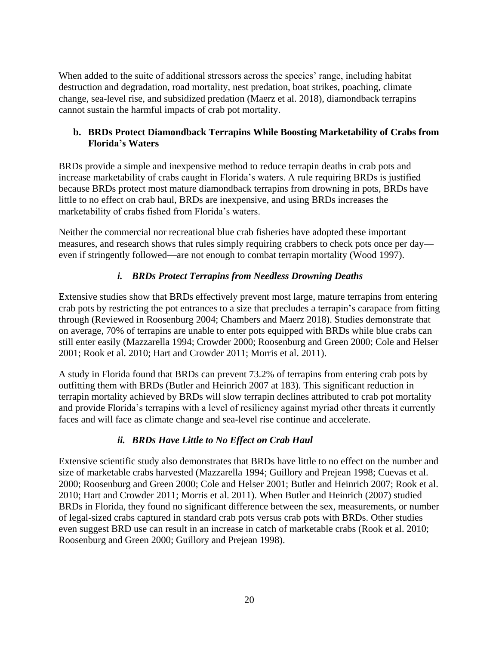When added to the suite of additional stressors across the species' range, including habitat destruction and degradation, road mortality, nest predation, boat strikes, poaching, climate change, sea-level rise, and subsidized predation (Maerz et al. 2018), diamondback terrapins cannot sustain the harmful impacts of crab pot mortality.

## <span id="page-19-0"></span>**b. BRDs Protect Diamondback Terrapins While Boosting Marketability of Crabs from Florida's Waters**

BRDs provide a simple and inexpensive method to reduce terrapin deaths in crab pots and increase marketability of crabs caught in Florida's waters. A rule requiring BRDs is justified because BRDs protect most mature diamondback terrapins from drowning in pots, BRDs have little to no effect on crab haul, BRDs are inexpensive, and using BRDs increases the marketability of crabs fished from Florida's waters.

Neither the commercial nor recreational blue crab fisheries have adopted these important measures, and research shows that rules simply requiring crabbers to check pots once per day even if stringently followed—are not enough to combat terrapin mortality (Wood 1997).

# *i. BRDs Protect Terrapins from Needless Drowning Deaths*

<span id="page-19-1"></span>Extensive studies show that BRDs effectively prevent most large, mature terrapins from entering crab pots by restricting the pot entrances to a size that precludes a terrapin's carapace from fitting through (Reviewed in Roosenburg 2004; Chambers and Maerz 2018). Studies demonstrate that on average, 70% of terrapins are unable to enter pots equipped with BRDs while blue crabs can still enter easily (Mazzarella 1994; Crowder 2000; Roosenburg and Green 2000; Cole and Helser 2001; Rook et al. 2010; Hart and Crowder 2011; Morris et al. 2011).

A study in Florida found that BRDs can prevent 73.2% of terrapins from entering crab pots by outfitting them with BRDs (Butler and Heinrich 2007 at 183). This significant reduction in terrapin mortality achieved by BRDs will slow terrapin declines attributed to crab pot mortality and provide Florida's terrapins with a level of resiliency against myriad other threats it currently faces and will face as climate change and sea-level rise continue and accelerate.

## *ii. BRDs Have Little to No Effect on Crab Haul*

<span id="page-19-2"></span>Extensive scientific study also demonstrates that BRDs have little to no effect on the number and size of marketable crabs harvested (Mazzarella 1994; Guillory and Prejean 1998; Cuevas et al. 2000; Roosenburg and Green 2000; Cole and Helser 2001; Butler and Heinrich 2007; Rook et al. 2010; Hart and Crowder 2011; Morris et al. 2011). When Butler and Heinrich (2007) studied BRDs in Florida, they found no significant difference between the sex, measurements, or number of legal-sized crabs captured in standard crab pots versus crab pots with BRDs. Other studies even suggest BRD use can result in an increase in catch of marketable crabs (Rook et al. 2010; Roosenburg and Green 2000; Guillory and Prejean 1998).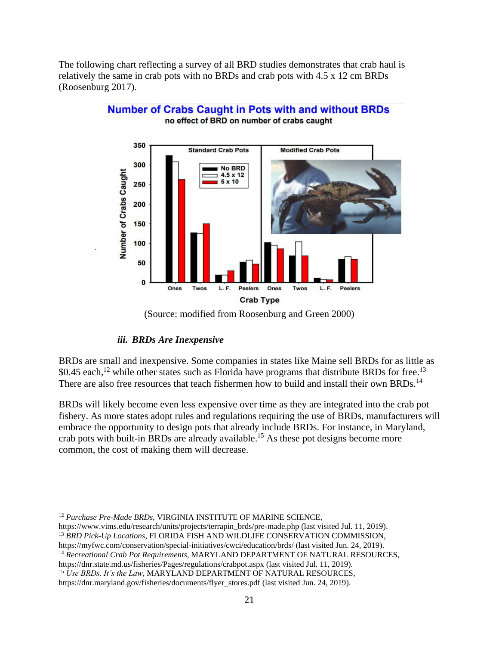The following chart reflecting a survey of all BRD studies demonstrates that crab haul is relatively the same in crab pots with no BRDs and crab pots with 4.5 x 12 cm BRDs (Roosenburg 2017).



#### **Number of Crabs Caught in Pots with and without BRDs** no effect of BRD on number of crabs caught

## *iii. BRDs Are Inexpensive*

<span id="page-20-0"></span>BRDs are small and inexpensive. Some companies in states like Maine sell BRDs for as little as \$0.45 each,<sup>12</sup> while other states such as Florida have programs that distribute BRDs for free.<sup>13</sup> There are also free resources that teach fishermen how to build and install their own BRDs.<sup>14</sup>

BRDs will likely become even less expensive over time as they are integrated into the crab pot fishery. As more states adopt rules and regulations requiring the use of BRDs, manufacturers will embrace the opportunity to design pots that already include BRDs. For instance, in Maryland, crab pots with built-in BRDs are already available.<sup>15</sup> As these pot designs become more common, the cost of making them will decrease.

<sup>14</sup> *Recreational Crab Pot Requirements*, MARYLAND DEPARTMENT OF NATURAL RESOURCES,

https://dnr.state.md.us/fisheries/Pages/regulations/crabpot.aspx (last visited Jul. 11, 2019).

<sup>(</sup>Source: modified from Roosenburg and Green 2000)

 $\overline{\phantom{a}}$ <sup>12</sup> Purchase Pre-Made BRDs, VIRGINIA INSTITUTE OF MARINE SCIENCE,

https://www.vims.edu/research/units/projects/terrapin\_brds/pre-made.php (last visited Jul. 11, 2019). <sup>13</sup> *BRD Pick-Up Locations*, FLORIDA FISH AND WILDLIFE CONSERVATION COMMISSION, https://myfwc.com/conservation/special-initiatives/cwci/education/brds/ (last visited Jun. 24, 2019).

<sup>15</sup> *Use BRDs. It's the Law*, MARYLAND DEPARTMENT OF NATURAL RESOURCES, https://dnr.maryland.gov/fisheries/documents/flyer\_stores.pdf (last visited Jun. 24, 2019).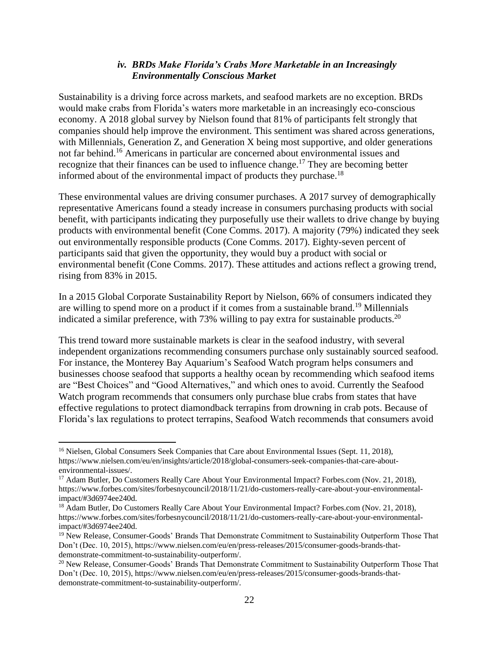#### *iv. BRDs Make Florida's Crabs More Marketable in an Increasingly Environmentally Conscious Market*

<span id="page-21-0"></span>Sustainability is a driving force across markets, and seafood markets are no exception. BRDs would make crabs from Florida's waters more marketable in an increasingly eco-conscious economy. A 2018 global survey by Nielson found that 81% of participants felt strongly that companies should help improve the environment. This sentiment was shared across generations, with Millennials, Generation Z, and Generation X being most supportive, and older generations not far behind.<sup>16</sup> Americans in particular are concerned about environmental issues and recognize that their finances can be used to influence change.<sup>17</sup> They are becoming better informed about of the environmental impact of products they purchase.<sup>18</sup>

These environmental values are driving consumer purchases. A 2017 survey of demographically representative Americans found a steady increase in consumers purchasing products with social benefit, with participants indicating they purposefully use their wallets to drive change by buying products with environmental benefit (Cone Comms. 2017). A majority (79%) indicated they seek out environmentally responsible products (Cone Comms. 2017). Eighty-seven percent of participants said that given the opportunity, they would buy a product with social or environmental benefit (Cone Comms. 2017). These attitudes and actions reflect a growing trend, rising from 83% in 2015.

In a 2015 Global Corporate Sustainability Report by Nielson, 66% of consumers indicated they are willing to spend more on a product if it comes from a sustainable brand.<sup>19</sup> Millennials indicated a similar preference, with 73% willing to pay extra for sustainable products.<sup>20</sup>

This trend toward more sustainable markets is clear in the seafood industry, with several independent organizations recommending consumers purchase only sustainably sourced seafood. For instance, the Monterey Bay Aquarium's Seafood Watch program helps consumers and businesses choose seafood that supports a healthy ocean by recommending which seafood items are "Best Choices" and "Good Alternatives," and which ones to avoid. Currently the Seafood Watch program recommends that consumers only purchase blue crabs from states that have effective regulations to protect diamondback terrapins from drowning in crab pots. Because of Florida's lax regulations to protect terrapins, Seafood Watch recommends that consumers avoid

 $\overline{\phantom{a}}$ 

<sup>&</sup>lt;sup>16</sup> Nielsen, Global Consumers Seek Companies that Care about Environmental Issues (Sept. 11, 2018), https://www.nielsen.com/eu/en/insights/article/2018/global-consumers-seek-companies-that-care-aboutenvironmental-issues/.

<sup>&</sup>lt;sup>17</sup> Adam Butler, Do Customers Really Care About Your Environmental Impact? Forbes.com (Nov. 21, 2018), https://www.forbes.com/sites/forbesnycouncil/2018/11/21/do-customers-really-care-about-your-environmentalimpact/#3d6974ee240d.

<sup>&</sup>lt;sup>18</sup> Adam Butler, Do Customers Really Care About Your Environmental Impact? Forbes.com (Nov. 21, 2018), https://www.forbes.com/sites/forbesnycouncil/2018/11/21/do-customers-really-care-about-your-environmentalimpact/#3d6974ee240d.

<sup>&</sup>lt;sup>19</sup> New Release, Consumer-Goods' Brands That Demonstrate Commitment to Sustainability Outperform Those That Don't (Dec. 10, 2015), https://www.nielsen.com/eu/en/press-releases/2015/consumer-goods-brands-thatdemonstrate-commitment-to-sustainability-outperform/.

<sup>&</sup>lt;sup>20</sup> New Release, Consumer-Goods' Brands That Demonstrate Commitment to Sustainability Outperform Those That Don't (Dec. 10, 2015), https://www.nielsen.com/eu/en/press-releases/2015/consumer-goods-brands-thatdemonstrate-commitment-to-sustainability-outperform/.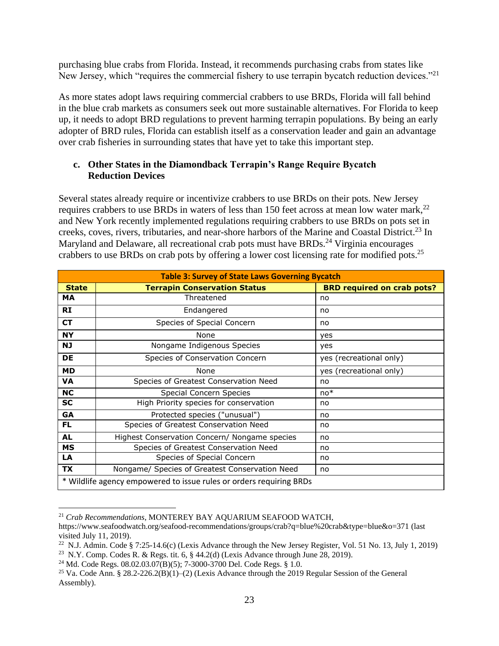purchasing blue crabs from Florida. Instead, it recommends purchasing crabs from states like New Jersey, which "requires the commercial fishery to use terrapin bycatch reduction devices."<sup>21</sup>

As more states adopt laws requiring commercial crabbers to use BRDs, Florida will fall behind in the blue crab markets as consumers seek out more sustainable alternatives. For Florida to keep up, it needs to adopt BRD regulations to prevent harming terrapin populations. By being an early adopter of BRD rules, Florida can establish itself as a conservation leader and gain an advantage over crab fisheries in surrounding states that have yet to take this important step.

## <span id="page-22-0"></span>**c. Other States in the Diamondback Terrapin's Range Require Bycatch Reduction Devices**

Several states already require or incentivize crabbers to use BRDs on their pots. New Jersey requires crabbers to use BRDs in waters of less than 150 feet across at mean low water mark,  $^{22}$ and New York recently implemented regulations requiring crabbers to use BRDs on pots set in creeks, coves, rivers, tributaries, and near-shore harbors of the Marine and Coastal District.<sup>23</sup> In Maryland and Delaware, all recreational crab pots must have BRDs.<sup>24</sup> Virginia encourages crabbers to use BRDs on crab pots by offering a lower cost licensing rate for modified pots.<sup>25</sup>

| <b>Table 3: Survey of State Laws Governing Bycatch</b>              |                                                |                                   |  |  |  |  |
|---------------------------------------------------------------------|------------------------------------------------|-----------------------------------|--|--|--|--|
| <b>State</b>                                                        | <b>Terrapin Conservation Status</b>            | <b>BRD required on crab pots?</b> |  |  |  |  |
| МA                                                                  | Threatened                                     | no                                |  |  |  |  |
| <b>RI</b>                                                           | Endangered                                     | no                                |  |  |  |  |
| <b>CT</b>                                                           | Species of Special Concern                     | no                                |  |  |  |  |
| <b>NY</b>                                                           | None                                           | yes                               |  |  |  |  |
| <b>NJ</b>                                                           | Nongame Indigenous Species                     | yes                               |  |  |  |  |
| DE                                                                  | Species of Conservation Concern                | yes (recreational only)           |  |  |  |  |
| <b>MD</b>                                                           | None                                           | yes (recreational only)           |  |  |  |  |
| <b>VA</b>                                                           | Species of Greatest Conservation Need          | no                                |  |  |  |  |
| <b>NC</b>                                                           | Special Concern Species                        | $no*$                             |  |  |  |  |
| SC                                                                  | High Priority species for conservation         | no                                |  |  |  |  |
| <b>GA</b>                                                           | Protected species ("unusual")                  | no                                |  |  |  |  |
| FL                                                                  | Species of Greatest Conservation Need          | no                                |  |  |  |  |
| <b>AL</b>                                                           | Highest Conservation Concern/ Nongame species  | no                                |  |  |  |  |
| <b>MS</b>                                                           | Species of Greatest Conservation Need          | no                                |  |  |  |  |
| LA                                                                  | Species of Special Concern                     | no                                |  |  |  |  |
| <b>TX</b>                                                           | Nongame/ Species of Greatest Conservation Need | no                                |  |  |  |  |
| * Wildlife agency empowered to issue rules or orders requiring BRDs |                                                |                                   |  |  |  |  |

<sup>21</sup> *Crab Recommendations*, MONTEREY BAY AQUARIUM SEAFOOD WATCH,

 $\overline{\phantom{a}}$ 

https://www.seafoodwatch.org/seafood-recommendations/groups/crab?q=blue%20crab&type=blue&o=371 (last visited July 11, 2019).

<sup>&</sup>lt;sup>22</sup> N.J. Admin. Code § 7:25-14.6(c) (Lexis Advance through the New Jersey Register, Vol. 51 No. 13, July 1, 2019)

<sup>&</sup>lt;sup>23</sup> N.Y. Comp. Codes R. & Regs. tit. 6,  $\S$  44.2(d) (Lexis Advance through June 28, 2019).

<sup>24</sup> Md. Code Regs. 08.02.03.07(B)(5); 7-3000-3700 Del. Code Regs. § 1.0.

<sup>&</sup>lt;sup>25</sup> Va. Code Ann. § 28.2-226.2(B)(1)–(2) (Lexis Advance through the 2019 Regular Session of the General Assembly).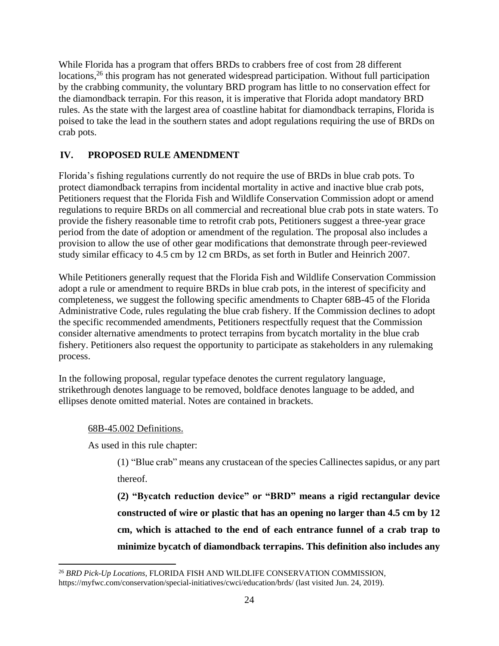While Florida has a program that offers BRDs to crabbers free of cost from 28 different locations,<sup>26</sup> this program has not generated widespread participation. Without full participation by the crabbing community, the voluntary BRD program has little to no conservation effect for the diamondback terrapin. For this reason, it is imperative that Florida adopt mandatory BRD rules. As the state with the largest area of coastline habitat for diamondback terrapins, Florida is poised to take the lead in the southern states and adopt regulations requiring the use of BRDs on crab pots.

## <span id="page-23-0"></span>**IV. PROPOSED RULE AMENDMENT**

Florida's fishing regulations currently do not require the use of BRDs in blue crab pots. To protect diamondback terrapins from incidental mortality in active and inactive blue crab pots, Petitioners request that the Florida Fish and Wildlife Conservation Commission adopt or amend regulations to require BRDs on all commercial and recreational blue crab pots in state waters. To provide the fishery reasonable time to retrofit crab pots, Petitioners suggest a three-year grace period from the date of adoption or amendment of the regulation. The proposal also includes a provision to allow the use of other gear modifications that demonstrate through peer-reviewed study similar efficacy to 4.5 cm by 12 cm BRDs, as set forth in Butler and Heinrich 2007.

While Petitioners generally request that the Florida Fish and Wildlife Conservation Commission adopt a rule or amendment to require BRDs in blue crab pots, in the interest of specificity and completeness, we suggest the following specific amendments to Chapter 68B-45 of the Florida Administrative Code, rules regulating the blue crab fishery. If the Commission declines to adopt the specific recommended amendments, Petitioners respectfully request that the Commission consider alternative amendments to protect terrapins from bycatch mortality in the blue crab fishery. Petitioners also request the opportunity to participate as stakeholders in any rulemaking process.

In the following proposal, regular typeface denotes the current regulatory language, strikethrough denotes language to be removed, boldface denotes language to be added, and ellipses denote omitted material. Notes are contained in brackets.

#### 68B-45.002 Definitions.

 $\overline{\phantom{a}}$ 

As used in this rule chapter:

(1) "Blue crab" means any crustacean of the species Callinectes sapidus, or any part thereof.

**(2) "Bycatch reduction device" or "BRD" means a rigid rectangular device constructed of wire or plastic that has an opening no larger than 4.5 cm by 12 cm, which is attached to the end of each entrance funnel of a crab trap to minimize bycatch of diamondback terrapins. This definition also includes any** 

<sup>26</sup> *BRD Pick-Up Locations*, FLORIDA FISH AND WILDLIFE CONSERVATION COMMISSION, https://myfwc.com/conservation/special-initiatives/cwci/education/brds/ (last visited Jun. 24, 2019).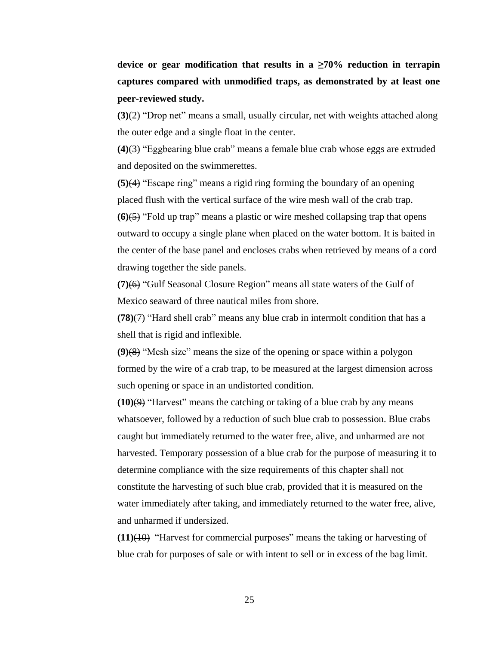**device or gear modification that results in a ≥70% reduction in terrapin captures compared with unmodified traps, as demonstrated by at least one peer-reviewed study.**

**(3)**(2) "Drop net" means a small, usually circular, net with weights attached along the outer edge and a single float in the center.

**(4)**(3) "Eggbearing blue crab" means a female blue crab whose eggs are extruded and deposited on the swimmerettes.

**(5)**(4) "Escape ring" means a rigid ring forming the boundary of an opening placed flush with the vertical surface of the wire mesh wall of the crab trap. **(6)**(5) "Fold up trap" means a plastic or wire meshed collapsing trap that opens outward to occupy a single plane when placed on the water bottom. It is baited in the center of the base panel and encloses crabs when retrieved by means of a cord drawing together the side panels.

**(7)**(6) "Gulf Seasonal Closure Region" means all state waters of the Gulf of Mexico seaward of three nautical miles from shore.

**(78)** $\left(7\right)$  "Hard shell crab" means any blue crab in intermolt condition that has a shell that is rigid and inflexible.

**(9)**(8) "Mesh size" means the size of the opening or space within a polygon formed by the wire of a crab trap, to be measured at the largest dimension across such opening or space in an undistorted condition.

**(10)**(9) "Harvest" means the catching or taking of a blue crab by any means whatsoever, followed by a reduction of such blue crab to possession. Blue crabs caught but immediately returned to the water free, alive, and unharmed are not harvested. Temporary possession of a blue crab for the purpose of measuring it to determine compliance with the size requirements of this chapter shall not constitute the harvesting of such blue crab, provided that it is measured on the water immediately after taking, and immediately returned to the water free, alive, and unharmed if undersized.

**(11)**(10) "Harvest for commercial purposes" means the taking or harvesting of blue crab for purposes of sale or with intent to sell or in excess of the bag limit.

25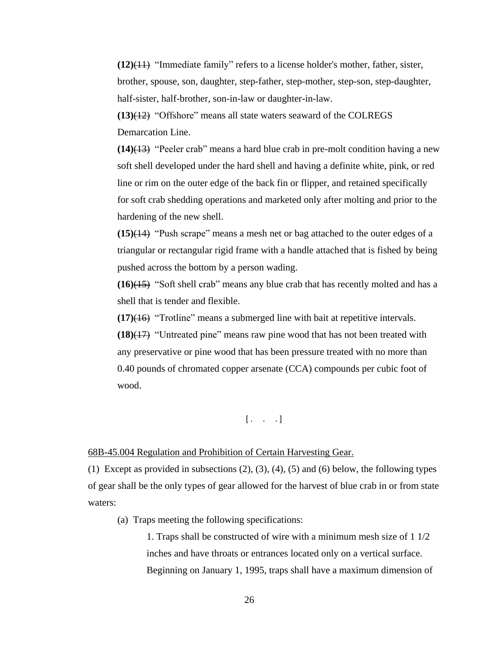**(12)**(11) "Immediate family" refers to a license holder's mother, father, sister, brother, spouse, son, daughter, step-father, step-mother, step-son, step-daughter, half-sister, half-brother, son-in-law or daughter-in-law.

**(13)**(12) "Offshore" means all state waters seaward of the COLREGS Demarcation Line.

**(14)**(13) "Peeler crab" means a hard blue crab in pre-molt condition having a new soft shell developed under the hard shell and having a definite white, pink, or red line or rim on the outer edge of the back fin or flipper, and retained specifically for soft crab shedding operations and marketed only after molting and prior to the hardening of the new shell.

**(15)**(14) "Push scrape" means a mesh net or bag attached to the outer edges of a triangular or rectangular rigid frame with a handle attached that is fished by being pushed across the bottom by a person wading.

**(16)**(15) "Soft shell crab" means any blue crab that has recently molted and has a shell that is tender and flexible.

**(17)**(16) "Trotline" means a submerged line with bait at repetitive intervals.

**(18)**(17) "Untreated pine" means raw pine wood that has not been treated with any preservative or pine wood that has been pressure treated with no more than 0.40 pounds of chromated copper arsenate (CCA) compounds per cubic foot of wood.

 $\begin{bmatrix} . & . & . \end{bmatrix}$ 

#### 68B-45.004 Regulation and Prohibition of Certain Harvesting Gear.

(1) Except as provided in subsections  $(2)$ ,  $(3)$ ,  $(4)$ ,  $(5)$  and  $(6)$  below, the following types of gear shall be the only types of gear allowed for the harvest of blue crab in or from state waters:

(a) Traps meeting the following specifications:

1. Traps shall be constructed of wire with a minimum mesh size of 1 1/2 inches and have throats or entrances located only on a vertical surface. Beginning on January 1, 1995, traps shall have a maximum dimension of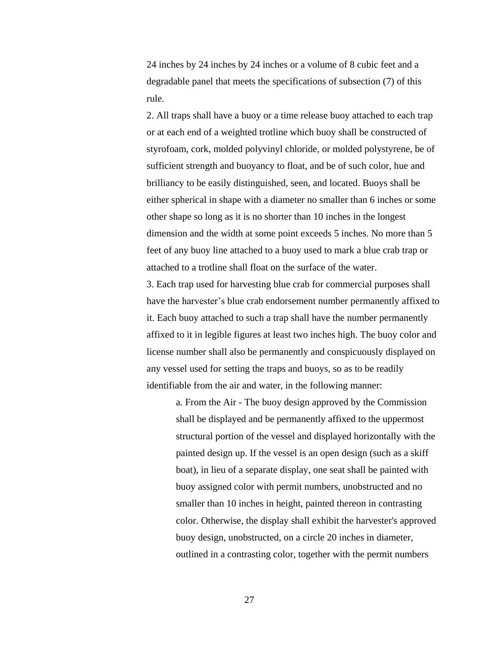24 inches by 24 inches by 24 inches or a volume of 8 cubic feet and a degradable panel that meets the specifications of subsection (7) of this rule.

2. All traps shall have a buoy or a time release buoy attached to each trap or at each end of a weighted trotline which buoy shall be constructed of styrofoam, cork, molded polyvinyl chloride, or molded polystyrene, be of sufficient strength and buoyancy to float, and be of such color, hue and brilliancy to be easily distinguished, seen, and located. Buoys shall be either spherical in shape with a diameter no smaller than 6 inches or some other shape so long as it is no shorter than 10 inches in the longest dimension and the width at some point exceeds 5 inches. No more than 5 feet of any buoy line attached to a buoy used to mark a blue crab trap or attached to a trotline shall float on the surface of the water.

3. Each trap used for harvesting blue crab for commercial purposes shall have the harvester's blue crab endorsement number permanently affixed to it. Each buoy attached to such a trap shall have the number permanently affixed to it in legible figures at least two inches high. The buoy color and license number shall also be permanently and conspicuously displayed on any vessel used for setting the traps and buoys, so as to be readily identifiable from the air and water, in the following manner:

a. From the Air - The buoy design approved by the Commission shall be displayed and be permanently affixed to the uppermost structural portion of the vessel and displayed horizontally with the painted design up. If the vessel is an open design (such as a skiff boat), in lieu of a separate display, one seat shall be painted with buoy assigned color with permit numbers, unobstructed and no smaller than 10 inches in height, painted thereon in contrasting color. Otherwise, the display shall exhibit the harvester's approved buoy design, unobstructed, on a circle 20 inches in diameter, outlined in a contrasting color, together with the permit numbers

27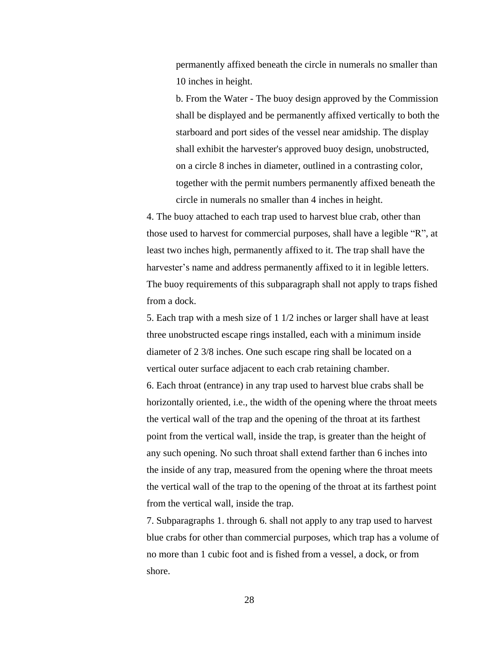permanently affixed beneath the circle in numerals no smaller than 10 inches in height.

b. From the Water - The buoy design approved by the Commission shall be displayed and be permanently affixed vertically to both the starboard and port sides of the vessel near amidship. The display shall exhibit the harvester's approved buoy design, unobstructed, on a circle 8 inches in diameter, outlined in a contrasting color, together with the permit numbers permanently affixed beneath the circle in numerals no smaller than 4 inches in height.

4. The buoy attached to each trap used to harvest blue crab, other than those used to harvest for commercial purposes, shall have a legible "R", at least two inches high, permanently affixed to it. The trap shall have the harvester's name and address permanently affixed to it in legible letters. The buoy requirements of this subparagraph shall not apply to traps fished from a dock.

5. Each trap with a mesh size of 1 1/2 inches or larger shall have at least three unobstructed escape rings installed, each with a minimum inside diameter of 2 3/8 inches. One such escape ring shall be located on a vertical outer surface adjacent to each crab retaining chamber. 6. Each throat (entrance) in any trap used to harvest blue crabs shall be horizontally oriented, i.e., the width of the opening where the throat meets the vertical wall of the trap and the opening of the throat at its farthest point from the vertical wall, inside the trap, is greater than the height of any such opening. No such throat shall extend farther than 6 inches into the inside of any trap, measured from the opening where the throat meets the vertical wall of the trap to the opening of the throat at its farthest point from the vertical wall, inside the trap.

7. Subparagraphs 1. through 6. shall not apply to any trap used to harvest blue crabs for other than commercial purposes, which trap has a volume of no more than 1 cubic foot and is fished from a vessel, a dock, or from shore.

28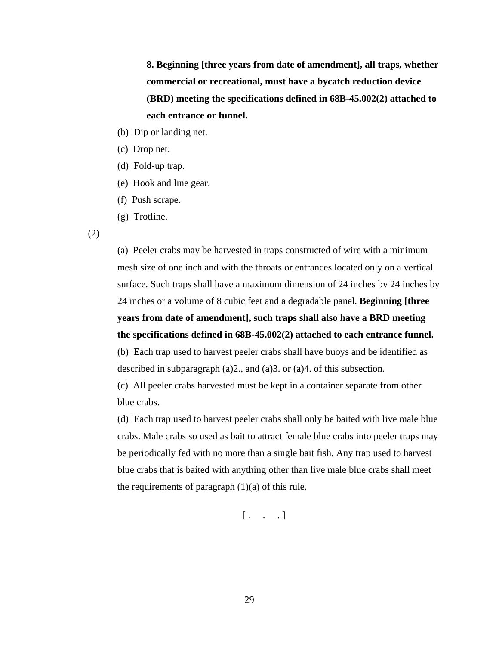**8. Beginning [three years from date of amendment], all traps, whether commercial or recreational, must have a bycatch reduction device (BRD) meeting the specifications defined in 68B-45.002(2) attached to each entrance or funnel.**

- (b) Dip or landing net.
- (c) Drop net.
- (d) Fold-up trap.
- (e) Hook and line gear.
- (f) Push scrape.
- (g) Trotline.

(2)

(a) Peeler crabs may be harvested in traps constructed of wire with a minimum mesh size of one inch and with the throats or entrances located only on a vertical surface. Such traps shall have a maximum dimension of 24 inches by 24 inches by 24 inches or a volume of 8 cubic feet and a degradable panel. **Beginning [three years from date of amendment], such traps shall also have a BRD meeting the specifications defined in 68B-45.002(2) attached to each entrance funnel.** (b) Each trap used to harvest peeler crabs shall have buoys and be identified as described in subparagraph (a)2., and (a)3. or (a)4. of this subsection.

(c) All peeler crabs harvested must be kept in a container separate from other blue crabs.

(d) Each trap used to harvest peeler crabs shall only be baited with live male blue crabs. Male crabs so used as bait to attract female blue crabs into peeler traps may be periodically fed with no more than a single bait fish. Any trap used to harvest blue crabs that is baited with anything other than live male blue crabs shall meet the requirements of paragraph  $(1)(a)$  of this rule.

 $\begin{bmatrix} . & . & . \end{bmatrix}$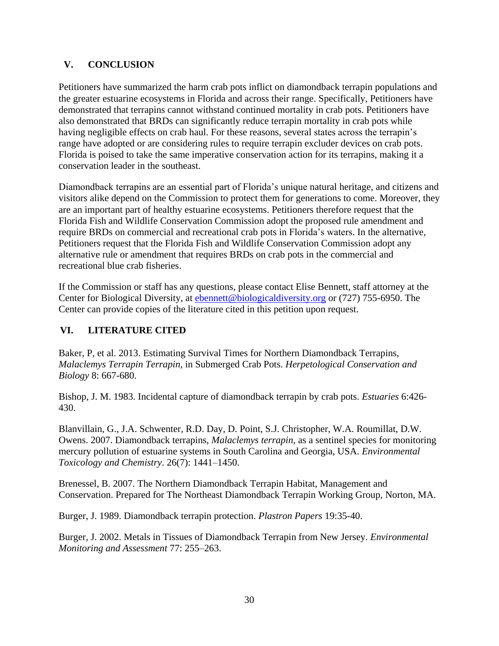## <span id="page-29-0"></span>**V. CONCLUSION**

Petitioners have summarized the harm crab pots inflict on diamondback terrapin populations and the greater estuarine ecosystems in Florida and across their range. Specifically, Petitioners have demonstrated that terrapins cannot withstand continued mortality in crab pots. Petitioners have also demonstrated that BRDs can significantly reduce terrapin mortality in crab pots while having negligible effects on crab haul. For these reasons, several states across the terrapin's range have adopted or are considering rules to require terrapin excluder devices on crab pots. Florida is poised to take the same imperative conservation action for its terrapins, making it a conservation leader in the southeast.

Diamondback terrapins are an essential part of Florida's unique natural heritage, and citizens and visitors alike depend on the Commission to protect them for generations to come. Moreover, they are an important part of healthy estuarine ecosystems. Petitioners therefore request that the Florida Fish and Wildlife Conservation Commission adopt the proposed rule amendment and require BRDs on commercial and recreational crab pots in Florida's waters. In the alternative, Petitioners request that the Florida Fish and Wildlife Conservation Commission adopt any alternative rule or amendment that requires BRDs on crab pots in the commercial and recreational blue crab fisheries.

If the Commission or staff has any questions, please contact Elise Bennett, staff attorney at the Center for Biological Diversity, at [ebennett@biologicaldiversity.org](mailto:ebennett@biologicaldiversity.org) or (727) 755-6950. The Center can provide copies of the literature cited in this petition upon request.

## <span id="page-29-1"></span>**VI. LITERATURE CITED**

Baker, P, et al. 2013. Estimating Survival Times for Northern Diamondback Terrapins, *Malaclemys Terrapin Terrapin,* in Submerged Crab Pots. *Herpetological Conservation and Biology* 8: 667-680.

Bishop, J. M. 1983. Incidental capture of diamondback terrapin by crab pots. *Estuaries* 6:426- 430.

Blanvillain, G., J.A. Schwenter, R.D. Day, D. Point, S.J. Christopher, W.A. Roumillat, D.W. Owens. 2007. Diamondback terrapins, *Malaclemys terrapin*, as a sentinel species for monitoring mercury pollution of estuarine systems in South Carolina and Georgia, USA. *Environmental Toxicology and Chemistry*. 26(7): 1441–1450.

Brenessel, B. 2007. The Northern Diamondback Terrapin Habitat, Management and Conservation. Prepared for The Northeast Diamondback Terrapin Working Group, Norton, MA.

Burger, J. 1989. Diamondback terrapin protection. *Plastron Papers* 19:35-40.

Burger, J. 2002. Metals in Tissues of Diamondback Terrapin from New Jersey. *Environmental Monitoring and Assessment* 77: 255–263.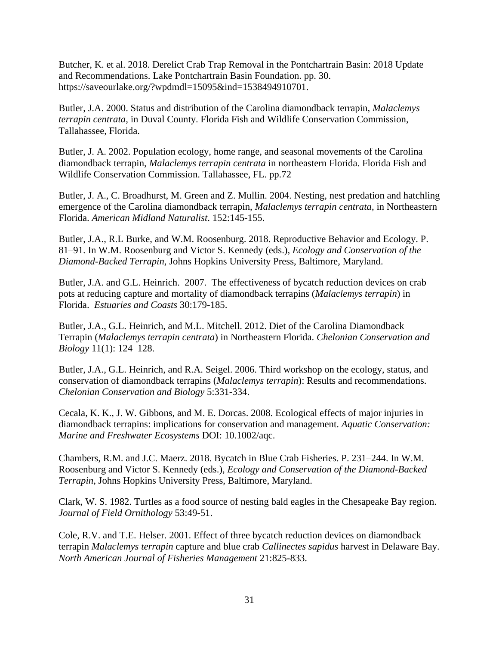Butcher, K. et al. 2018. Derelict Crab Trap Removal in the Pontchartrain Basin: 2018 Update and Recommendations. Lake Pontchartrain Basin Foundation. pp. 30. https://saveourlake.org/?wpdmdl=15095&ind=1538494910701.

Butler, J.A. 2000. Status and distribution of the Carolina diamondback terrapin, *Malaclemys terrapin centrata*, in Duval County. Florida Fish and Wildlife Conservation Commission, Tallahassee, Florida.

Butler, J. A. 2002. [P](http://www.dtwg.org/Bibliography/Publications/Butler%20et%20al%202004.pdf)opulation ecology, home range, and seasonal movements of the Carolina diamondback terrapin, *Malaclemys terrapin centrata* in northeastern Florida. Florida Fish and Wildlife Conservation Commission. Tallahassee, FL. pp.72

Butler, J. A., C. Broadhurst, M. Green and Z. Mullin. 2004. Nesting, nest predation and hatchling emergence of the Carolina diamondback terrapin, *Malaclemys terrapin centrata*, in Northeastern Florida. *American Midland Naturalist*. 152:145-155.

Butler, J.A., R.L Burke, and W.M. Roosenburg. 2018. Reproductive Behavior and Ecology. P. 81–91. In W.M. Roosenburg and Victor S. Kennedy (eds.), *Ecology and Conservation of the Diamond-Backed Terrapin*, Johns Hopkins University Press, Baltimore, Maryland.

Butler, J.A. and G.L. Heinrich. 2007. The effectiveness of bycatch reduction devices on crab pots at reducing capture and mortality of diamondback terrapins (*Malaclemys terrapin*) in Florida. *Estuaries and Coasts* 30:179-185.

Butler, J.A., G.L. Heinrich, and M.L. Mitchell. 2012. Diet of the Carolina Diamondback Terrapin (*Malaclemys terrapin centrata*) in Northeastern Florida. *Chelonian Conservation and Biology* 11(1): 124–128.

Butler, J.A., G.L. Heinrich, and R.A. Seigel. 2006. Third workshop on the ecology, status, and conservation of diamondback terrapins (*Malaclemys terrapin*): Results and recommendations. *Chelonian Conservation and Biology* 5:331-334.

Cecala, K. K., J. W. Gibbons, and M. E. Dorcas. 2008. Ecological effects of major injuries in diamondback terrapins: implications for conservation and management. *Aquatic Conservation: Marine and Freshwater Ecosystems* DOI: 10.1002/aqc.

Chambers, R.M. and J.C. Maerz. 2018. Bycatch in Blue Crab Fisheries. P. 231–244. In W.M. Roosenburg and Victor S. Kennedy (eds.), *Ecology and Conservation of the Diamond-Backed Terrapin*, Johns Hopkins University Press, Baltimore, Maryland.

Clark, W. S. 1982. Turtles as a food source of nesting bald eagles in the Chesapeake Bay region. *Journal of Field Ornithology* 53:49-51.

Cole, R.V. and T.E. Helser. 2001. Effect of three bycatch reduction devices on diamondback terrapin *Malaclemys terrapin* capture and blue crab *Callinectes sapidus* harvest in Delaware Bay. *North American Journal of Fisheries Management* 21:825-833.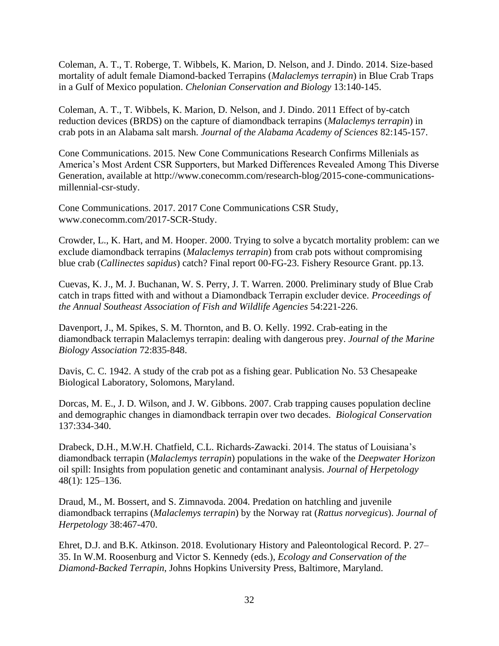Coleman, A. T., T. Roberge, T. Wibbels, K. Marion, D. Nelson, and J. Dindo. 2014. Size-based mortality of adult female Diamond-backed Terrapins (*Malaclemys terrapin*) in Blue Crab Traps in a Gulf of Mexico population. *Chelonian Conservation and Biology* 13:140-145.

Coleman, A. T., T. Wibbels, K. Marion, D. Nelson, and J. Dindo. 2011 Effect of by-catch reduction devices (BRDS) on the capture of diamondback terrapins (*Malaclemys terrapin*) in crab pots in an Alabama salt marsh. *Journal of the Alabama Academy of Sciences* 82:145-157.

Cone Communications. 2015. New Cone Communications Research Confirms Millenials as America's Most Ardent CSR Supporters, but Marked Differences Revealed Among This Diverse Generation, available at http://www.conecomm.com/research-blog/2015-cone-communicationsmillennial-csr-study.

Cone Communications. 2017. 2017 Cone Communications CSR Study, www.conecomm.com/2017-SCR-Study.

Crowder, L., K. Hart, and M. Hooper. 2000. Trying to solve a bycatch mortality problem: can we exclude diamondback terrapins (*Malaclemys terrapin*) from crab pots without compromising blue crab (*Callinectes sapidus*) catch? Final report 00-FG-23. Fishery Resource Grant. pp.13.

Cuevas, K. J., M. J. Buchanan, W. S. Perry, J. T. Warren. 2000. Preliminary study of Blue Crab catch in traps fitted with and without a Diamondback Terrapin excluder device. *Proceedings of the Annual Southeast Association of Fish and Wildlife Agencies* 54:221-226.

Davenport, J., M. Spikes, S. M. Thornton, and B. O. Kelly. 1992. Crab-eating in the diamondback terrapin Malaclemys terrapin: dealing with dangerous prey. *Journal of the Marine Biology Association* 72:835-848.

Davis, C. C. 1942. A study of the crab pot as a fishing gear. Publication No. 53 Chesapeake Biological Laboratory, Solomons, Maryland.

Dorcas, M. E., J. D. Wilson, and J. W. Gibbons. 2007. Crab trapping causes population decline and demographic changes in diamondback terrapin over two decades. *Biological Conservation* 137:334-340.

Drabeck, D.H., M.W.H. Chatfield, C.L. Richards-Zawacki. 2014. The status of Louisiana's diamondback terrapin (*Malaclemys terrapin*) populations in the wake of the *Deepwater Horizon*  oil spill: Insights from population genetic and contaminant analysis. *Journal of Herpetology* 48(1): 125–136.

Draud, M., M. Bossert, and S. Zimnavoda. 2004. Predation on hatchling and juvenile diamondback terrapins (*Malaclemys terrapin*) by the Norway rat (*Rattus norvegicus*). *Journal of Herpetology* 38:467-470.

Ehret, D.J. and B.K. Atkinson. 2018. Evolutionary History and Paleontological Record. P. 27– 35. In W.M. Roosenburg and Victor S. Kennedy (eds.), *Ecology and Conservation of the Diamond-Backed Terrapin*, Johns Hopkins University Press, Baltimore, Maryland.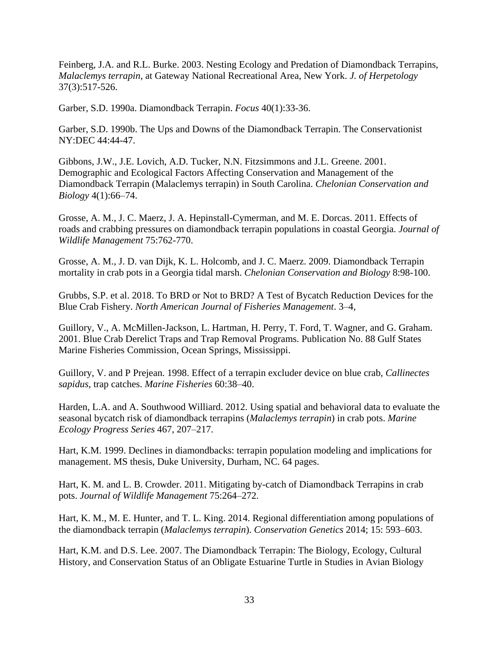Feinberg, J.A. and R.L. Burke. 2003. Nesting Ecology and Predation of Diamondback Terrapins, *Malaclemys terrapin*, at Gateway National Recreational Area, New York. *J. of Herpetology* 37(3):517-526.

Garber, S.D. 1990a. Diamondback Terrapin. *Focus* 40(1):33-36.

Garber, S.D. 1990b. The Ups and Downs of the Diamondback Terrapin. The Conservationist NY:DEC 44:44-47.

Gibbons, J.W., J.E. Lovich, A.D. Tucker, N.N. Fitzsimmons and J.L. Greene. 2001. Demographic and Ecological Factors Affecting Conservation and Management of the Diamondback Terrapin (Malaclemys terrapin) in South Carolina. *Chelonian Conservation and Biology* 4(1):66–74.

Grosse, A. M., J. C. Maerz, J. A. Hepinstall-Cymerman, and M. E. Dorcas. 2011. Effects of roads and crabbing pressures on diamondback terrapin populations in coastal Georgia. *Journal of Wildlife Management* 75:762-770.

Grosse, A. M., J. D. van Dijk, K. L. Holcomb, and J. C. Maerz. 2009. Diamondback Terrapin mortality in crab pots in a Georgia tidal marsh. *Chelonian Conservation and Biology* 8:98-100.

Grubbs, S.P. et al. 2018. To BRD or Not to BRD? A Test of Bycatch Reduction Devices for the Blue Crab Fishery. *North American Journal of Fisheries Management*. 3–4,

Guillory, V., A. McMillen-Jackson, L. Hartman, H. Perry, T. Ford, T. Wagner, and G. Graham. 2001. Blue Crab Derelict Traps and Trap Removal Programs. Publication No. 88 Gulf States Marine Fisheries Commission, Ocean Springs, Mississippi.

Guillory, V. and P Prejean. 1998. Effect of a terrapin excluder device on blue crab, *Callinectes sapidus*, trap catches. *Marine Fisheries* 60:38–40.

Harden, L.A. and A. Southwood Williard. 2012. Using spatial and behavioral data to evaluate the seasonal bycatch risk of diamondback terrapins (*Malaclemys terrapin*) in crab pots. *Marine Ecology Progress Series* 467, 207–217.

Hart, K.M. 1999. Declines in diamondbacks: terrapin population modeling and implications for management. MS thesis, Duke University, Durham, NC. 64 pages.

Hart, K. M. and L. B. Crowder. 2011. Mitigating by-catch of Diamondback Terrapins in crab pots. *Journal of Wildlife Management* 75:264–272.

Hart, K. M., M. E. Hunter, and T. L. King. 2014. Regional differentiation among populations of the diamondback terrapin (*Malaclemys terrapin*). *Conservation Genetics* 2014; 15: 593–603.

Hart, K.M. and D.S. Lee. 2007. The Diamondback Terrapin: The Biology, Ecology, Cultural History, and Conservation Status of an Obligate Estuarine Turtle in Studies in Avian Biology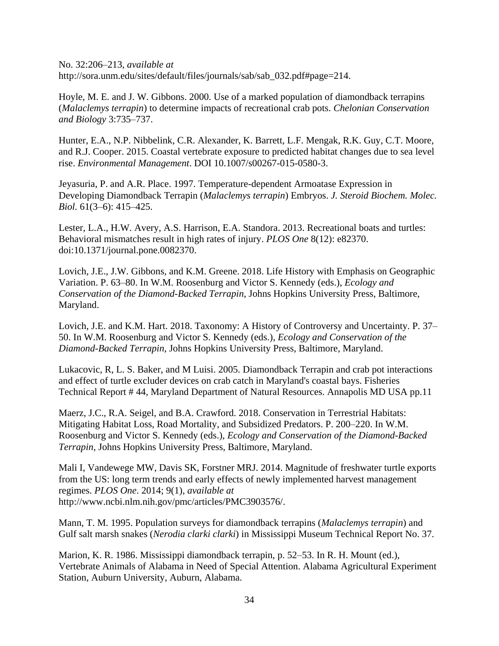No. 32:206–213, *available at* http://sora.unm.edu/sites/default/files/journals/sab/sab\_032.pdf#page=214.

Hoyle, M. E. and J. W. Gibbons. 2000. Use of a marked population of diamondback terrapins (*Malaclemys terrapin*) to determine impacts of recreational crab pots. *Chelonian Conservation and Biology* 3:735–737.

Hunter, E.A., N.P. Nibbelink, C.R. Alexander, K. Barrett, L.F. Mengak, R.K. Guy, C.T. Moore, and R.J. Cooper. 2015. Coastal vertebrate exposure to predicted habitat changes due to sea level rise. *Environmental Management*. DOI 10.1007/s00267-015-0580-3.

Jeyasuria, P. and A.R. Place. 1997. Temperature-dependent Armoatase Expression in Developing Diamondback Terrapin (*Malaclemys terrapin*) Embryos. *J. Steroid Biochem. Molec. Biol.* 61(3–6): 415–425.

Lester, L.A., H.W. Avery, A.S. Harrison, E.A. Standora. 2013. Recreational boats and turtles: Behavioral mismatches result in high rates of injury. *PLOS One* 8(12): e82370. doi:10.1371/journal.pone.0082370.

Lovich, J.E., J.W. Gibbons, and K.M. Greene. 2018. Life History with Emphasis on Geographic Variation. P. 63–80. In W.M. Roosenburg and Victor S. Kennedy (eds.), *Ecology and Conservation of the Diamond-Backed Terrapin*, Johns Hopkins University Press, Baltimore, Maryland.

Lovich, J.E. and K.M. Hart. 2018. Taxonomy: A History of Controversy and Uncertainty. P. 37– 50. In W.M. Roosenburg and Victor S. Kennedy (eds.), *Ecology and Conservation of the Diamond-Backed Terrapin*, Johns Hopkins University Press, Baltimore, Maryland.

Lukacovic, R, L. S. Baker, and M Luisi. 2005. Diamondback Terrapin and crab pot interactions and effect of turtle excluder devices on crab catch in Maryland's coastal bays. Fisheries Technical Report # 44, Maryland Department of Natural Resources. Annapolis MD USA pp.11

Maerz, J.C., R.A. Seigel, and B.A. Crawford. 2018. Conservation in Terrestrial Habitats: Mitigating Habitat Loss, Road Mortality, and Subsidized Predators. P. 200–220. In W.M. Roosenburg and Victor S. Kennedy (eds.), *Ecology and Conservation of the Diamond-Backed Terrapin*, Johns Hopkins University Press, Baltimore, Maryland.

Mali I, Vandewege MW, Davis SK, Forstner MRJ. 2014. Magnitude of freshwater turtle exports from the US: long term trends and early effects of newly implemented harvest management regimes. *PLOS One*. 2014; 9(1), *available at*  http://www.ncbi.nlm.nih.gov/pmc/articles/PMC3903576/.

Mann, T. M. 1995. Population surveys for diamondback terrapins (*Malaclemys terrapin*) and Gulf salt marsh snakes (*Nerodia clarki clarki*) in Mississippi Museum Technical Report No. 37.

Marion, K. R. 1986. Mississippi diamondback terrapin, p. 52–53. In R. H. Mount (ed.), Vertebrate Animals of Alabama in Need of Special Attention. Alabama Agricultural Experiment Station, Auburn University, Auburn, Alabama.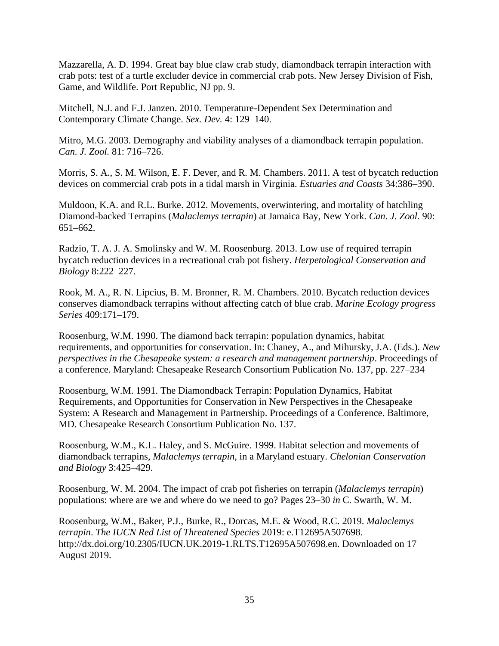Mazzarella, A. D. 1994. Great bay blue claw crab study, diamondback terrapin interaction with crab pots: test of a turtle excluder device in commercial crab pots. New Jersey Division of Fish, Game, and Wildlife. Port Republic, NJ pp. 9.

Mitchell, N.J. and F.J. Janzen. 2010. Temperature-Dependent Sex Determination and Contemporary Climate Change. *Sex. Dev.* 4: 129–140.

Mitro, M.G. 2003. Demography and viability analyses of a diamondback terrapin population. *Can. J. Zool.* 81: 716–726.

Morris, S. A., S. M. Wilson, E. F. Dever, and R. M. Chambers. 2011. A test of bycatch reduction devices on commercial crab pots in a tidal marsh in Virginia. *Estuaries and Coasts* 34:386–390.

Muldoon, K.A. and R.L. Burke. 2012. Movements, overwintering, and mortality of hatchling Diamond-backed Terrapins (*Malaclemys terrapin*) at Jamaica Bay, New York. *Can. J. Zool.* 90: 651–662.

Radzio, T. A. J. A. Smolinsky and W. M. Roosenburg. 2013. Low use of required terrapin bycatch reduction devices in a recreational crab pot fishery. *Herpetological Conservation and Biology* 8:222–227.

Rook, M. A., R. N. Lipcius, B. M. Bronner, R. M. Chambers. 2010. Bycatch reduction devices conserves diamondback terrapins without affecting catch of blue crab. *Marine Ecology progress Series* 409:171–179.

Roosenburg, W.M. 1990. The diamond back terrapin: population dynamics, habitat requirements, and opportunities for conservation. In: Chaney, A., and Mihursky, J.A. (Eds.). *New perspectives in the Chesapeake system: a research and management partnership*. Proceedings of a conference. Maryland: Chesapeake Research Consortium Publication No. 137, pp. 227–234

Roosenburg, W.M. 1991. The Diamondback Terrapin: Population Dynamics, Habitat Requirements, and Opportunities for Conservation in New Perspectives in the Chesapeake System: A Research and Management in Partnership. Proceedings of a Conference. Baltimore, MD. Chesapeake Research Consortium Publication No. 137.

Roosenburg, W.M., K.L. Haley, and S. McGuire. 1999. Habitat selection and movements of diamondback terrapins, *Malaclemys terrapin*, in a Maryland estuary. *Chelonian Conservation and Biology* 3:425–429.

Roosenburg, W. M. 2004. The impact of crab pot fisheries on terrapin (*Malaclemys terrapin*) populations: where are we and where do we need to go? Pages 23–30 *in* C. Swarth, W. M.

Roosenburg, W.M., Baker, P.J., Burke, R., Dorcas, M.E. & Wood, R.C. 2019. *Malaclemys terrapin*. *The IUCN Red List of Threatened Species* 2019: e.T12695A507698. http://dx.doi.org/10.2305/IUCN.UK.2019-1.RLTS.T12695A507698.en. Downloaded on 17 August 2019.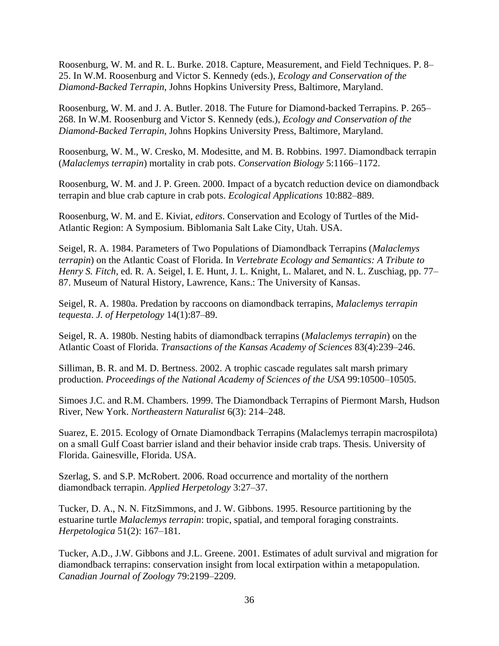Roosenburg, W. M. and R. L. Burke. 2018. Capture, Measurement, and Field Techniques. P. 8– 25. In W.M. Roosenburg and Victor S. Kennedy (eds.), *Ecology and Conservation of the Diamond-Backed Terrapin*, Johns Hopkins University Press, Baltimore, Maryland.

Roosenburg, W. M. and J. A. Butler. 2018. The Future for Diamond-backed Terrapins. P. 265– 268. In W.M. Roosenburg and Victor S. Kennedy (eds.), *Ecology and Conservation of the Diamond-Backed Terrapin*, Johns Hopkins University Press, Baltimore, Maryland.

Roosenburg, W. M., W. Cresko, M. Modesitte, and M. B. Robbins. 1997. Diamondback terrapin (*Malaclemys terrapin*) mortality in crab pots. *Conservation Biology* 5:1166–1172.

Roosenburg, W. M. and J. P. Green. 2000. Impact of a bycatch reduction device on diamondback terrapin and blue crab capture in crab pots. *Ecological Applications* 10:882–889.

Roosenburg, W. M. and E. Kiviat, *editors*. Conservation and Ecology of Turtles of the Mid-Atlantic Region: A Symposium. Biblomania Salt Lake City, Utah. USA.

Seigel, R. A. 1984. Parameters of Two Populations of Diamondback Terrapins (*Malaclemys terrapin*) on the Atlantic Coast of Florida. In *Vertebrate Ecology and Semantics: A Tribute to Henry S. Fitch*, ed. R. A. Seigel, I. E. Hunt, J. L. Knight, L. Malaret, and N. L. Zuschiag, pp. 77– 87. Museum of Natural History, Lawrence, Kans.: The University of Kansas.

Seigel, R. A. 1980a. Predation by raccoons on diamondback terrapins, *Malaclemys terrapin tequesta*. *J. of Herpetology* 14(1):87–89.

Seigel, R. A. 1980b. Nesting habits of diamondback terrapins (*Malaclemys terrapin*) on the Atlantic Coast of Florida. *Transactions of the Kansas Academy of Sciences* 83(4):239–246.

Silliman, B. R. and M. D. Bertness. 2002. A trophic cascade regulates salt marsh primary production. *Proceedings of the National Academy of Sciences of the USA* 99:10500–10505.

Simoes J.C. and R.M. Chambers. 1999. The Diamondback Terrapins of Piermont Marsh, Hudson River, New York. *Northeastern Naturalist* 6(3): 214–248.

Suarez, E. 2015. Ecology of Ornate Diamondback Terrapins (Malaclemys terrapin macrospilota) on a small Gulf Coast barrier island and their behavior inside crab traps. Thesis. University of Florida. Gainesville, Florida. USA.

Szerlag, S. and S.P. McRobert. 2006. Road occurrence and mortality of the northern diamondback terrapin. *Applied Herpetology* 3:27–37.

Tucker, D. A., N. N. FitzSimmons, and J. W. Gibbons. 1995. Resource partitioning by the estuarine turtle *Malaclemys terrapin*: tropic, spatial, and temporal foraging constraints. *Herpetologica* 51(2): 167–181.

Tucker, A.D., J.W. Gibbons and J.L. Greene. 2001. Estimates of adult survival and migration for diamondback terrapins: conservation insight from local extirpation within a metapopulation. *Canadian Journal of Zoology* 79:2199–2209.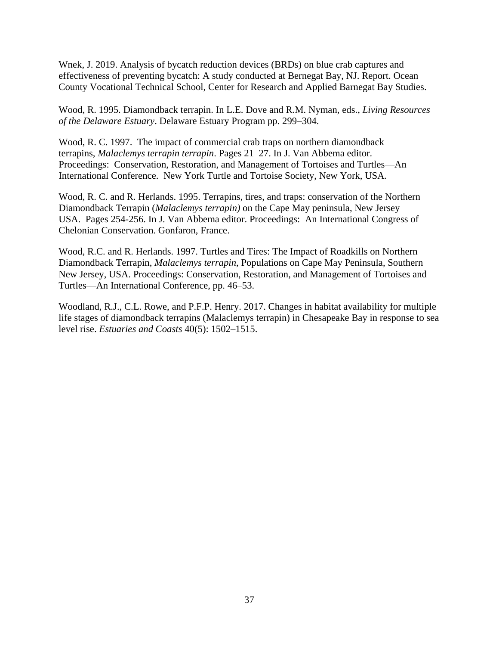Wnek, J. 2019. Analysis of bycatch reduction devices (BRDs) on blue crab captures and effectiveness of preventing bycatch: A study conducted at Bernegat Bay, NJ. Report. Ocean County Vocational Technical School, Center for Research and Applied Barnegat Bay Studies.

Wood, R. 1995. Diamondback terrapin. In L.E. Dove and R.M. Nyman, eds., *Living Resources of the Delaware Estuary*. Delaware Estuary Program pp. 299–304.

Wood, R. C. 1997. The impact of commercial crab traps on northern diamondback terrapins, *Malaclemys terrapin terrapin*. Pages 21–27. In J. Van Abbema editor. Proceedings: Conservation, Restoration, and Management of Tortoises and Turtles—An International Conference. New York Turtle and Tortoise Society, New York, USA.

Wood, R. C. and R. Herlands. 1995. Terrapins, tires, and traps: conservation of the Northern Diamondback Terrapin (*Malaclemys terrapin)* on the Cape May peninsula, New Jersey USA. Pages 254-256. In J. Van Abbema editor. Proceedings: An International Congress of Chelonian Conservation. Gonfaron, France.

Wood, R.C. and R. Herlands. 1997. Turtles and Tires: The Impact of Roadkills on Northern Diamondback Terrapin, *Malaclemys terrapin*, Populations on Cape May Peninsula, Southern New Jersey, USA. Proceedings: Conservation, Restoration, and Management of Tortoises and Turtles—An International Conference, pp. 46–53.

<span id="page-36-0"></span>Woodland, R.J., C.L. Rowe, and P.F.P. Henry. 2017. Changes in habitat availability for multiple life stages of diamondback terrapins (Malaclemys terrapin) in Chesapeake Bay in response to sea level rise. *Estuaries and Coasts* 40(5): 1502–1515.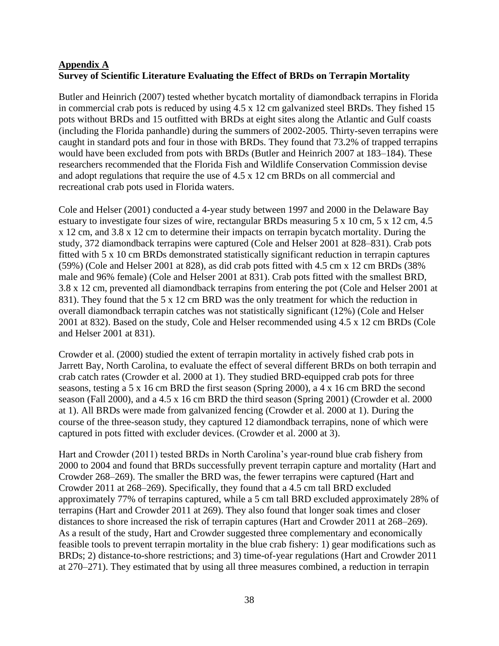## <span id="page-37-0"></span>**Appendix A Survey of Scientific Literature Evaluating the Effect of BRDs on Terrapin Mortality**

Butler and Heinrich (2007) tested whether bycatch mortality of diamondback terrapins in Florida in commercial crab pots is reduced by using 4.5 x 12 cm galvanized steel BRDs. They fished 15 pots without BRDs and 15 outfitted with BRDs at eight sites along the Atlantic and Gulf coasts (including the Florida panhandle) during the summers of 2002-2005. Thirty-seven terrapins were caught in standard pots and four in those with BRDs. They found that 73.2% of trapped terrapins would have been excluded from pots with BRDs (Butler and Heinrich 2007 at 183–184). These researchers recommended that the Florida Fish and Wildlife Conservation Commission devise and adopt regulations that require the use of 4.5 x 12 cm BRDs on all commercial and recreational crab pots used in Florida waters.

Cole and Helser (2001) conducted a 4-year study between 1997 and 2000 in the Delaware Bay estuary to investigate four sizes of wire, rectangular BRDs measuring 5 x 10 cm, 5 x 12 cm, 4.5 x 12 cm, and 3.8 x 12 cm to determine their impacts on terrapin bycatch mortality. During the study, 372 diamondback terrapins were captured (Cole and Helser 2001 at 828–831). Crab pots fitted with 5 x 10 cm BRDs demonstrated statistically significant reduction in terrapin captures (59%) (Cole and Helser 2001 at 828), as did crab pots fitted with 4.5 cm x 12 cm BRDs (38% male and 96% female) (Cole and Helser 2001 at 831). Crab pots fitted with the smallest BRD, 3.8 x 12 cm, prevented all diamondback terrapins from entering the pot (Cole and Helser 2001 at 831). They found that the 5 x 12 cm BRD was the only treatment for which the reduction in overall diamondback terrapin catches was not statistically significant (12%) (Cole and Helser 2001 at 832). Based on the study, Cole and Helser recommended using 4.5 x 12 cm BRDs (Cole and Helser 2001 at 831).

Crowder et al. (2000) studied the extent of terrapin mortality in actively fished crab pots in Jarrett Bay, North Carolina, to evaluate the effect of several different BRDs on both terrapin and crab catch rates (Crowder et al. 2000 at 1). They studied BRD-equipped crab pots for three seasons, testing a 5 x 16 cm BRD the first season (Spring 2000), a 4 x 16 cm BRD the second season (Fall 2000), and a 4.5 x 16 cm BRD the third season (Spring 2001) (Crowder et al. 2000 at 1). All BRDs were made from galvanized fencing (Crowder et al. 2000 at 1). During the course of the three-season study, they captured 12 diamondback terrapins, none of which were captured in pots fitted with excluder devices. (Crowder et al. 2000 at 3).

Hart and Crowder (2011) tested BRDs in North Carolina's year-round blue crab fishery from 2000 to 2004 and found that BRDs successfully prevent terrapin capture and mortality (Hart and Crowder 268–269). The smaller the BRD was, the fewer terrapins were captured (Hart and Crowder 2011 at 268–269). Specifically, they found that a 4.5 cm tall BRD excluded approximately 77% of terrapins captured, while a 5 cm tall BRD excluded approximately 28% of terrapins (Hart and Crowder 2011 at 269). They also found that longer soak times and closer distances to shore increased the risk of terrapin captures (Hart and Crowder 2011 at 268–269). As a result of the study, Hart and Crowder suggested three complementary and economically feasible tools to prevent terrapin mortality in the blue crab fishery: 1) gear modifications such as BRDs; 2) distance-to-shore restrictions; and 3) time-of-year regulations (Hart and Crowder 2011 at 270–271). They estimated that by using all three measures combined, a reduction in terrapin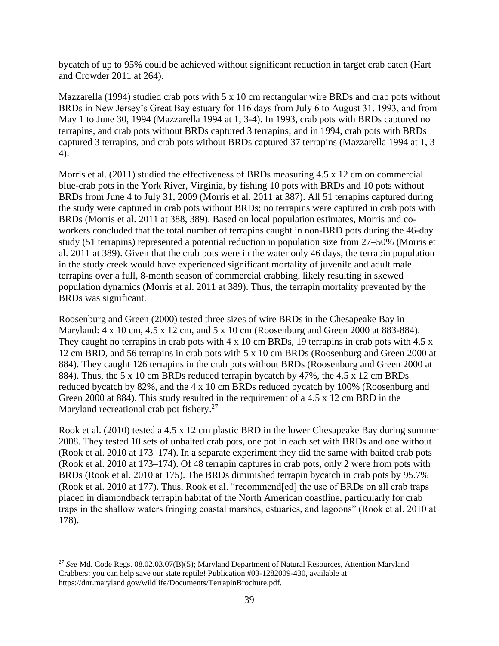bycatch of up to 95% could be achieved without significant reduction in target crab catch (Hart and Crowder 2011 at 264).

Mazzarella (1994) studied crab pots with 5 x 10 cm rectangular wire BRDs and crab pots without BRDs in New Jersey's Great Bay estuary for 116 days from July 6 to August 31, 1993, and from May 1 to June 30, 1994 (Mazzarella 1994 at 1, 3-4). In 1993, crab pots with BRDs captured no terrapins, and crab pots without BRDs captured 3 terrapins; and in 1994, crab pots with BRDs captured 3 terrapins, and crab pots without BRDs captured 37 terrapins (Mazzarella 1994 at 1, 3– 4).

Morris et al. (2011) studied the effectiveness of BRDs measuring 4.5 x 12 cm on commercial blue-crab pots in the York River, Virginia, by fishing 10 pots with BRDs and 10 pots without BRDs from June 4 to July 31, 2009 (Morris et al. 2011 at 387). All 51 terrapins captured during the study were captured in crab pots without BRDs; no terrapins were captured in crab pots with BRDs (Morris et al. 2011 at 388, 389). Based on local population estimates, Morris and coworkers concluded that the total number of terrapins caught in non-BRD pots during the 46-day study (51 terrapins) represented a potential reduction in population size from 27–50% (Morris et al. 2011 at 389). Given that the crab pots were in the water only 46 days, the terrapin population in the study creek would have experienced significant mortality of juvenile and adult male terrapins over a full, 8-month season of commercial crabbing, likely resulting in skewed population dynamics (Morris et al. 2011 at 389). Thus, the terrapin mortality prevented by the BRDs was significant.

Roosenburg and Green (2000) tested three sizes of wire BRDs in the Chesapeake Bay in Maryland: 4 x 10 cm, 4.5 x 12 cm, and 5 x 10 cm (Roosenburg and Green 2000 at 883-884). They caught no terrapins in crab pots with  $4 \times 10$  cm BRDs, 19 terrapins in crab pots with  $4.5 \times$ 12 cm BRD, and 56 terrapins in crab pots with 5 x 10 cm BRDs (Roosenburg and Green 2000 at 884). They caught 126 terrapins in the crab pots without BRDs (Roosenburg and Green 2000 at 884). Thus, the 5 x 10 cm BRDs reduced terrapin bycatch by 47%, the 4.5 x 12 cm BRDs reduced bycatch by 82%, and the 4 x 10 cm BRDs reduced bycatch by 100% (Roosenburg and Green 2000 at 884). This study resulted in the requirement of a 4.5 x 12 cm BRD in the Maryland recreational crab pot fishery.<sup>27</sup>

Rook et al. (2010) tested a 4.5 x 12 cm plastic BRD in the lower Chesapeake Bay during summer 2008. They tested 10 sets of unbaited crab pots, one pot in each set with BRDs and one without (Rook et al. 2010 at 173–174). In a separate experiment they did the same with baited crab pots (Rook et al. 2010 at 173–174). Of 48 terrapin captures in crab pots, only 2 were from pots with BRDs (Rook et al. 2010 at 175). The BRDs diminished terrapin bycatch in crab pots by 95.7% (Rook et al. 2010 at 177). Thus, Rook et al. "recommend[ed] the use of BRDs on all crab traps placed in diamondback terrapin habitat of the North American coastline, particularly for crab traps in the shallow waters fringing coastal marshes, estuaries, and lagoons" (Rook et al. 2010 at 178).

 $\overline{\phantom{a}}$ 

<sup>27</sup> *See* Md. Code Regs. 08.02.03.07(B)(5); Maryland Department of Natural Resources, Attention Maryland Crabbers: you can help save our state reptile! Publication #03-1282009-430, available at https://dnr.maryland.gov/wildlife/Documents/TerrapinBrochure.pdf.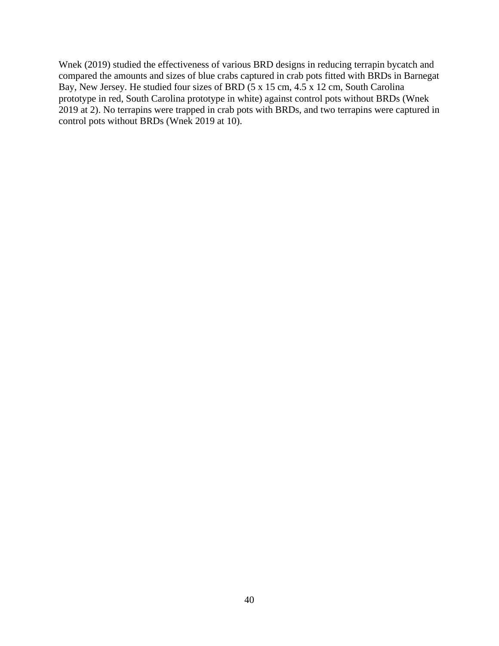Wnek (2019) studied the effectiveness of various BRD designs in reducing terrapin bycatch and compared the amounts and sizes of blue crabs captured in crab pots fitted with BRDs in Barnegat Bay, New Jersey. He studied four sizes of BRD (5 x 15 cm, 4.5 x 12 cm, South Carolina prototype in red, South Carolina prototype in white) against control pots without BRDs (Wnek 2019 at 2). No terrapins were trapped in crab pots with BRDs, and two terrapins were captured in control pots without BRDs (Wnek 2019 at 10).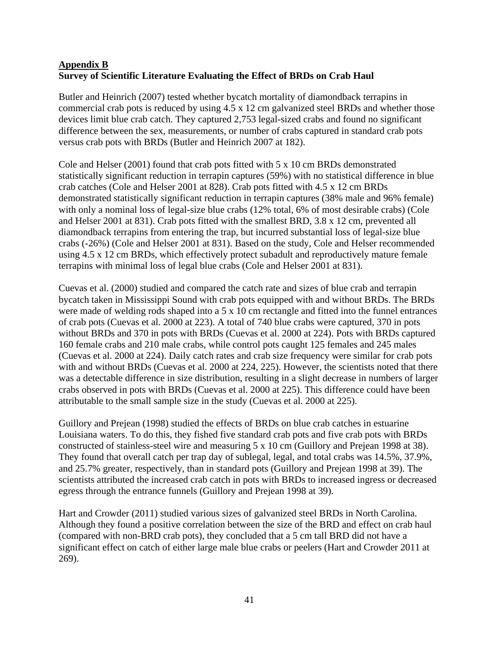## <span id="page-40-1"></span><span id="page-40-0"></span>**Appendix B Survey of Scientific Literature Evaluating the Effect of BRDs on Crab Haul**

Butler and Heinrich (2007) tested whether bycatch mortality of diamondback terrapins in commercial crab pots is reduced by using 4.5 x 12 cm galvanized steel BRDs and whether those devices limit blue crab catch. They captured 2,753 legal-sized crabs and found no significant difference between the sex, measurements, or number of crabs captured in standard crab pots versus crab pots with BRDs (Butler and Heinrich 2007 at 182).

Cole and Helser (2001) found that crab pots fitted with 5 x 10 cm BRDs demonstrated statistically significant reduction in terrapin captures (59%) with no statistical difference in blue crab catches (Cole and Helser 2001 at 828). Crab pots fitted with 4.5 x 12 cm BRDs demonstrated statistically significant reduction in terrapin captures (38% male and 96% female) with only a nominal loss of legal-size blue crabs (12% total, 6% of most desirable crabs) (Cole and Helser 2001 at 831). Crab pots fitted with the smallest BRD, 3.8 x 12 cm, prevented all diamondback terrapins from entering the trap, but incurred substantial loss of legal-size blue crabs (-26%) (Cole and Helser 2001 at 831). Based on the study, Cole and Helser recommended using 4.5 x 12 cm BRDs, which effectively protect subadult and reproductively mature female terrapins with minimal loss of legal blue crabs (Cole and Helser 2001 at 831).

Cuevas et al. (2000) studied and compared the catch rate and sizes of blue crab and terrapin bycatch taken in Mississippi Sound with crab pots equipped with and without BRDs. The BRDs were made of welding rods shaped into a 5 x 10 cm rectangle and fitted into the funnel entrances of crab pots (Cuevas et al. 2000 at 223). A total of 740 blue crabs were captured, 370 in pots without BRDs and 370 in pots with BRDs (Cuevas et al. 2000 at 224). Pots with BRDs captured 160 female crabs and 210 male crabs, while control pots caught 125 females and 245 males (Cuevas et al. 2000 at 224). Daily catch rates and crab size frequency were similar for crab pots with and without BRDs (Cuevas et al. 2000 at 224, 225). However, the scientists noted that there was a detectable difference in size distribution, resulting in a slight decrease in numbers of larger crabs observed in pots with BRDs (Cuevas et al. 2000 at 225). This difference could have been attributable to the small sample size in the study (Cuevas et al. 2000 at 225).

Guillory and Prejean (1998) studied the effects of BRDs on blue crab catches in estuarine Louisiana waters. To do this, they fished five standard crab pots and five crab pots with BRDs constructed of stainless-steel wire and measuring 5 x 10 cm (Guillory and Prejean 1998 at 38). They found that overall catch per trap day of sublegal, legal, and total crabs was 14.5%, 37.9%, and 25.7% greater, respectively, than in standard pots (Guillory and Prejean 1998 at 39). The scientists attributed the increased crab catch in pots with BRDs to increased ingress or decreased egress through the entrance funnels (Guillory and Prejean 1998 at 39).

Hart and Crowder (2011) studied various sizes of galvanized steel BRDs in North Carolina. Although they found a positive correlation between the size of the BRD and effect on crab haul (compared with non-BRD crab pots), they concluded that a 5 cm tall BRD did not have a significant effect on catch of either large male blue crabs or peelers (Hart and Crowder 2011 at 269).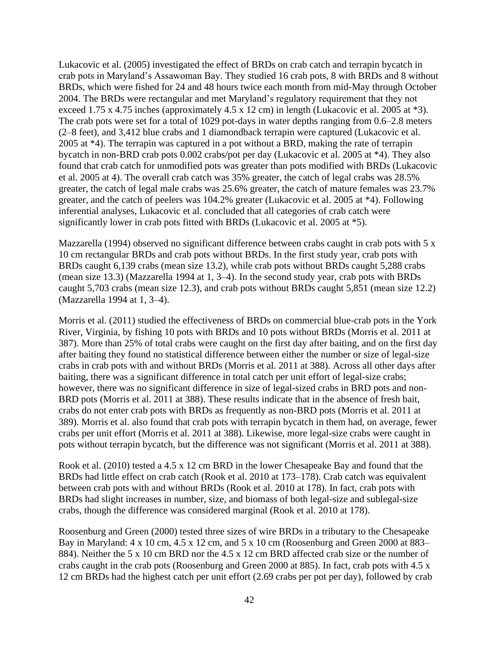Lukacovic et al. (2005) investigated the effect of BRDs on crab catch and terrapin bycatch in crab pots in Maryland's Assawoman Bay. They studied 16 crab pots, 8 with BRDs and 8 without BRDs, which were fished for 24 and 48 hours twice each month from mid-May through October 2004. The BRDs were rectangular and met Maryland's regulatory requirement that they not exceed 1.75 x 4.75 inches (approximately 4.5 x 12 cm) in length (Lukacovic et al. 2005 at \*3). The crab pots were set for a total of 1029 pot-days in water depths ranging from 0.6–2.8 meters (2–8 feet), and 3,412 blue crabs and 1 diamondback terrapin were captured (Lukacovic et al. 2005 at \*4). The terrapin was captured in a pot without a BRD, making the rate of terrapin bycatch in non-BRD crab pots 0.002 crabs/pot per day (Lukacovic et al. 2005 at \*4). They also found that crab catch for unmodified pots was greater than pots modified with BRDs (Lukacovic et al. 2005 at 4). The overall crab catch was 35% greater, the catch of legal crabs was 28.5% greater, the catch of legal male crabs was 25.6% greater, the catch of mature females was 23.7% greater, and the catch of peelers was 104.2% greater (Lukacovic et al. 2005 at \*4). Following inferential analyses, Lukacovic et al. concluded that all categories of crab catch were significantly lower in crab pots fitted with BRDs (Lukacovic et al. 2005 at \*5).

Mazzarella (1994) observed no significant difference between crabs caught in crab pots with 5 x 10 cm rectangular BRDs and crab pots without BRDs. In the first study year, crab pots with BRDs caught 6,139 crabs (mean size 13.2), while crab pots without BRDs caught 5,288 crabs (mean size 13.3) (Mazzarella 1994 at 1, 3–4). In the second study year, crab pots with BRDs caught 5,703 crabs (mean size 12.3), and crab pots without BRDs caught 5,851 (mean size 12.2) (Mazzarella 1994 at 1, 3–4).

Morris et al. (2011) studied the effectiveness of BRDs on commercial blue-crab pots in the York River, Virginia, by fishing 10 pots with BRDs and 10 pots without BRDs (Morris et al. 2011 at 387). More than 25% of total crabs were caught on the first day after baiting, and on the first day after baiting they found no statistical difference between either the number or size of legal-size crabs in crab pots with and without BRDs (Morris et al. 2011 at 388). Across all other days after baiting, there was a significant difference in total catch per unit effort of legal-size crabs; however, there was no significant difference in size of legal-sized crabs in BRD pots and non-BRD pots (Morris et al. 2011 at 388). These results indicate that in the absence of fresh bait, crabs do not enter crab pots with BRDs as frequently as non-BRD pots (Morris et al. 2011 at 389). Morris et al. also found that crab pots with terrapin bycatch in them had, on average, fewer crabs per unit effort (Morris et al. 2011 at 388). Likewise, more legal-size crabs were caught in pots without terrapin bycatch, but the difference was not significant (Morris et al. 2011 at 388).

Rook et al. (2010) tested a 4.5 x 12 cm BRD in the lower Chesapeake Bay and found that the BRDs had little effect on crab catch (Rook et al. 2010 at 173–178). Crab catch was equivalent between crab pots with and without BRDs (Rook et al. 2010 at 178). In fact, crab pots with BRDs had slight increases in number, size, and biomass of both legal-size and sublegal-size crabs, though the difference was considered marginal (Rook et al. 2010 at 178).

Roosenburg and Green (2000) tested three sizes of wire BRDs in a tributary to the Chesapeake Bay in Maryland: 4 x 10 cm, 4.5 x 12 cm, and 5 x 10 cm (Roosenburg and Green 2000 at 883– 884). Neither the 5 x 10 cm BRD nor the 4.5 x 12 cm BRD affected crab size or the number of crabs caught in the crab pots (Roosenburg and Green 2000 at 885). In fact, crab pots with 4.5 x 12 cm BRDs had the highest catch per unit effort (2.69 crabs per pot per day), followed by crab